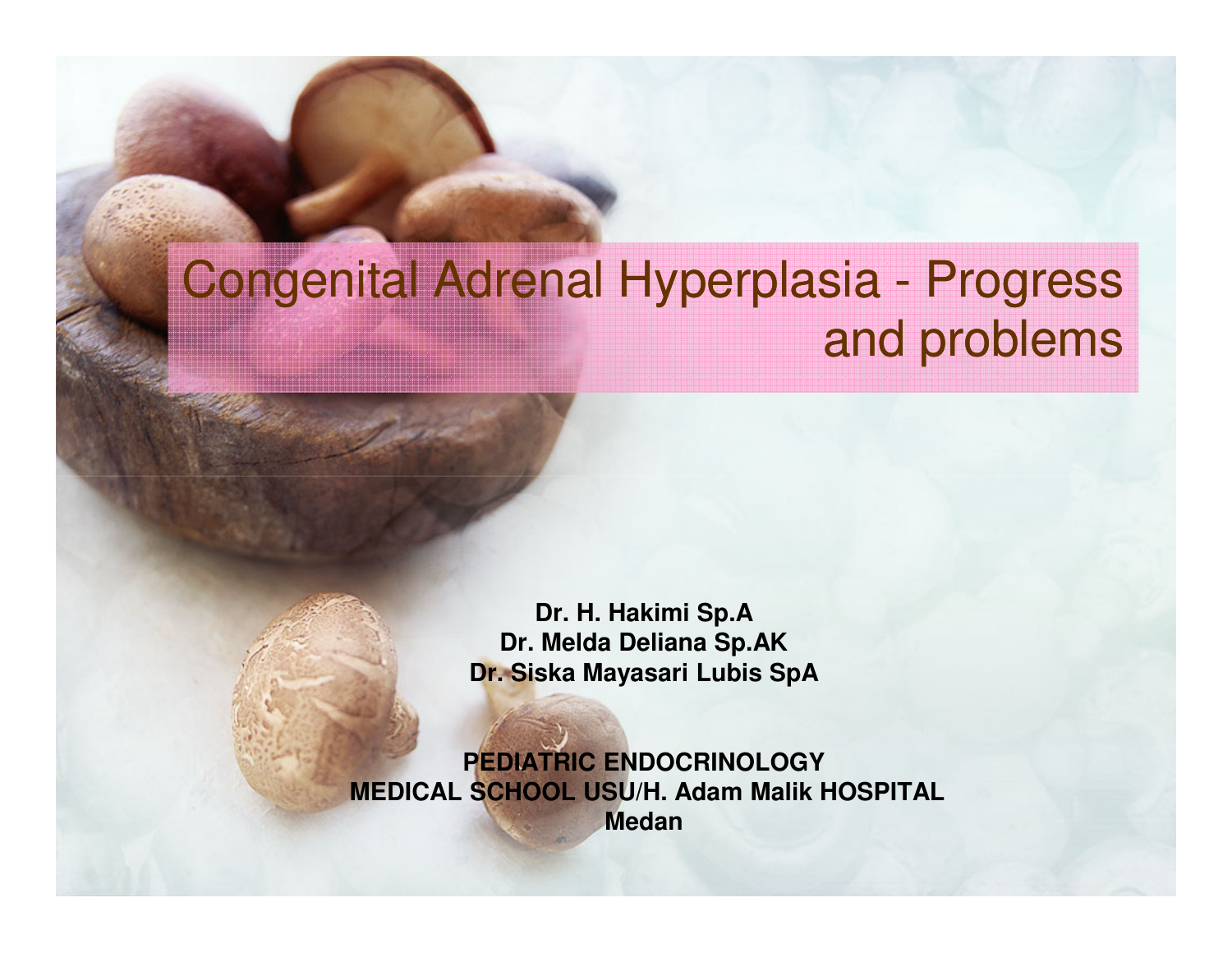#### Congenital Adrenal Hyperplasia - Progress and problems

**Dr. H. Hakimi Sp.A Dr. Melda Deliana Sp.AKDr. Siska Mayasari Lubis SpA**

**PEDIATRIC ENDOCRINOLOGY MEDICAL SCHOOL USU/H. Adam Malik HOSPITALMedan**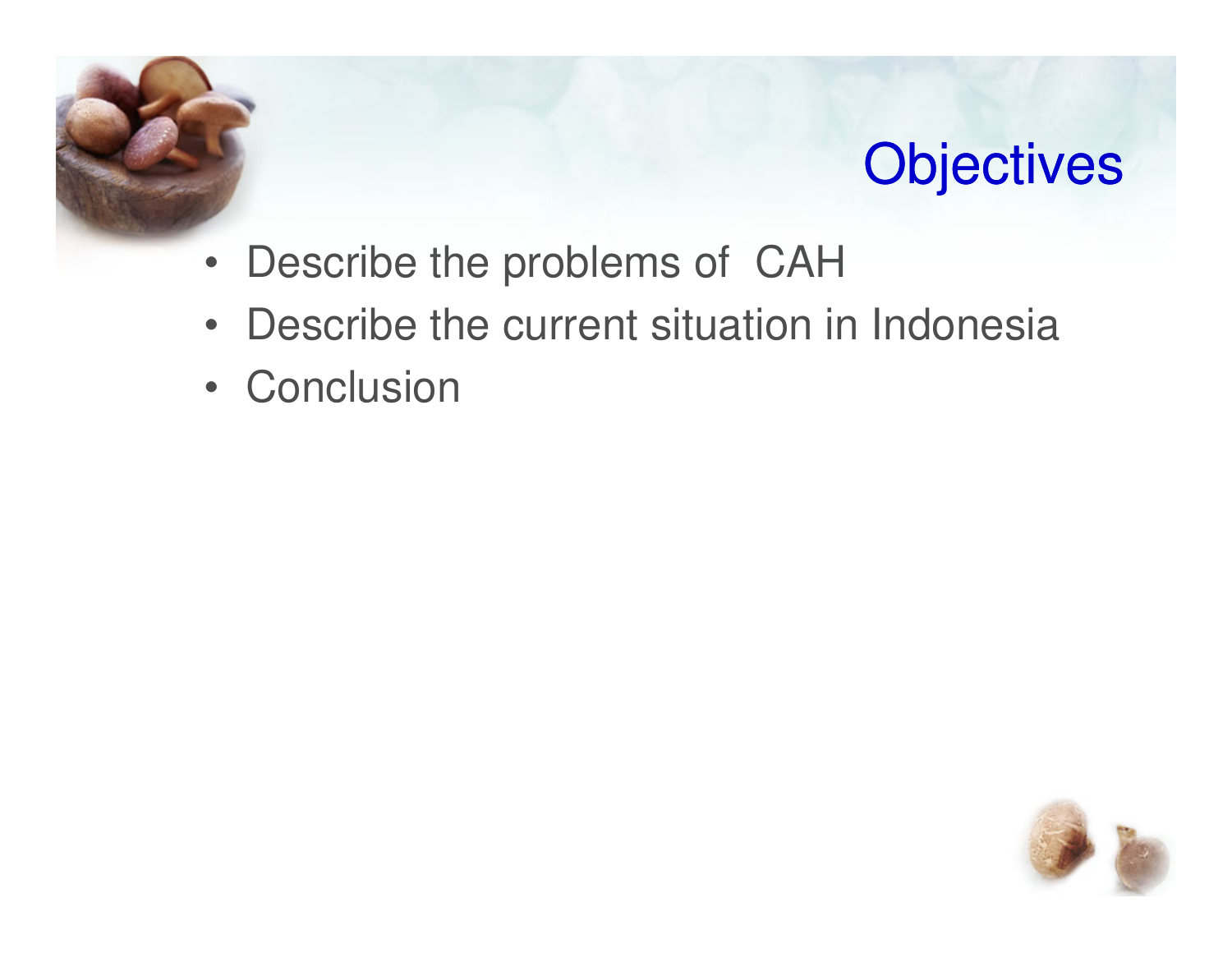

## **Objectives**

- Describe the problems of CAH
- •Describe the current situation in Indonesia
- Conclusion

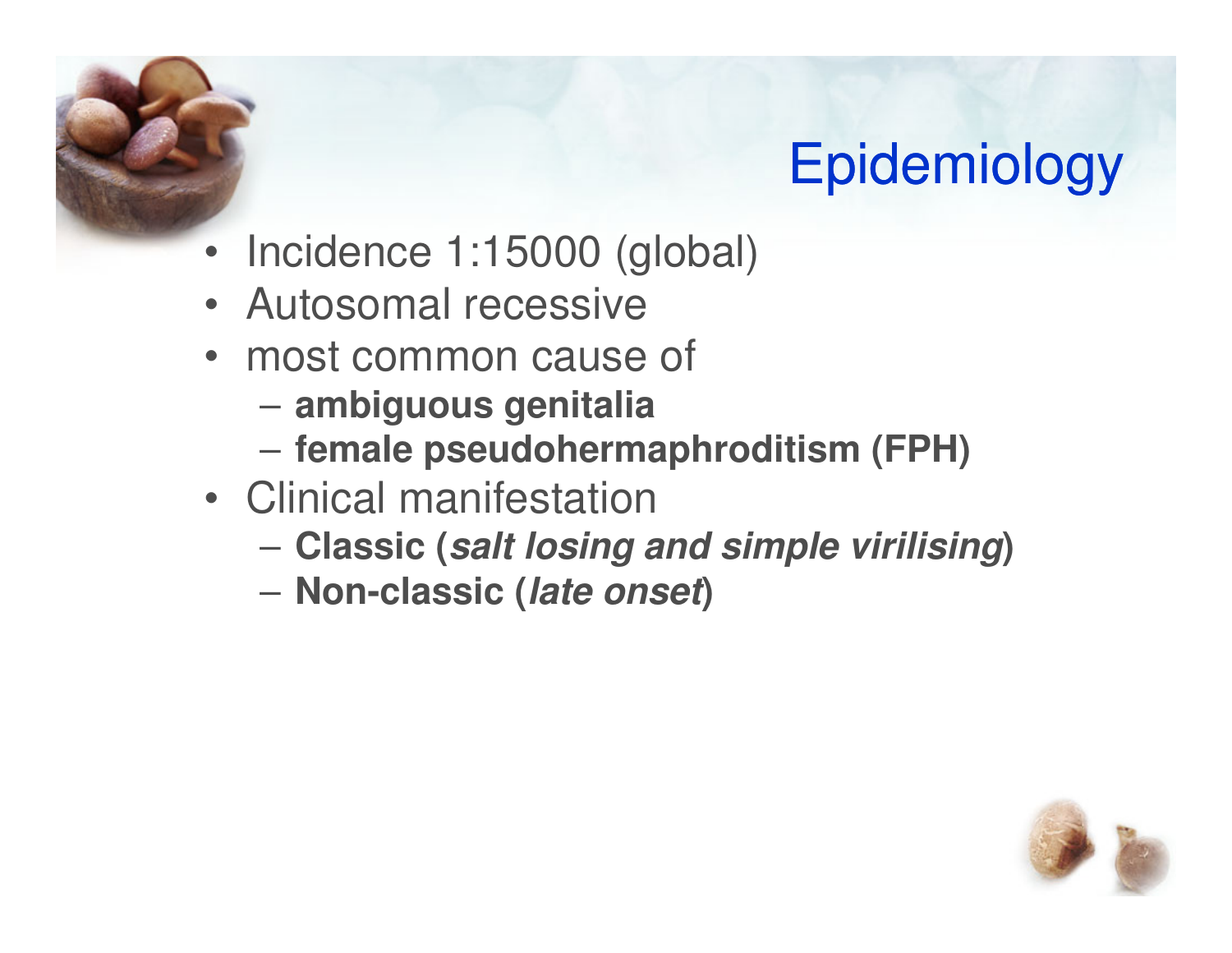## Epidemiology

- •Incidence 1:15000 (global)
- Autosomal recessive
- most common cause of
	- **ambiguous genitalia**
	- **female pseudohermaphroditism (FPH)**
- Clinical manifestation
	- Claeeir Lealt Ineinn **Classic (salt losing and simple virilising)**
	- **Non-classic (late onset)**

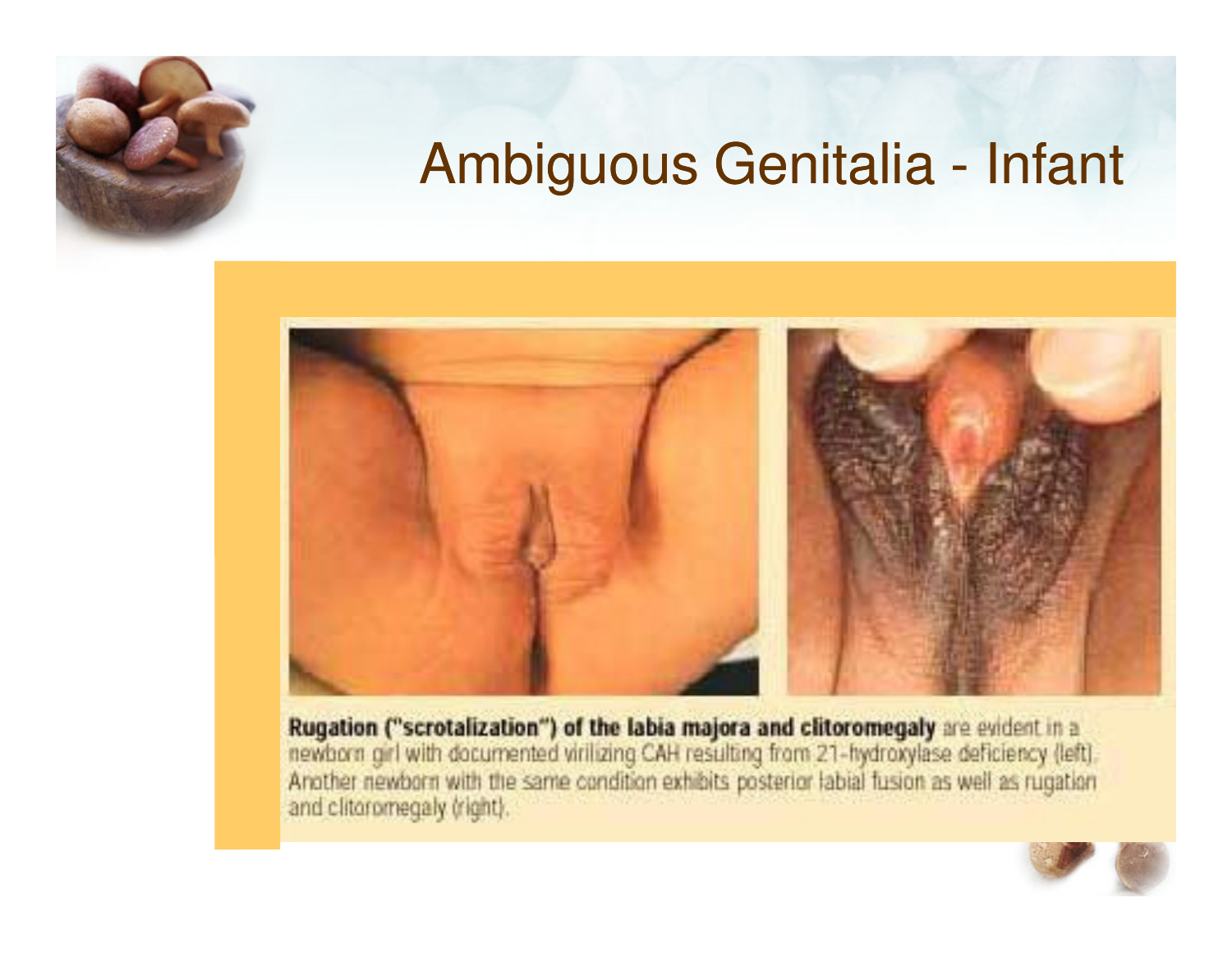## Ambiguous Genitalia - Infant



Rugation ("scrotalization") of the labia majora and clitoromegaly are evident in a newborn gril with documented wrilizing CAH resulting from 21-hydroxylase deficiency (left). Another newborn with the same condition exhibit and clitoromegaly (right).

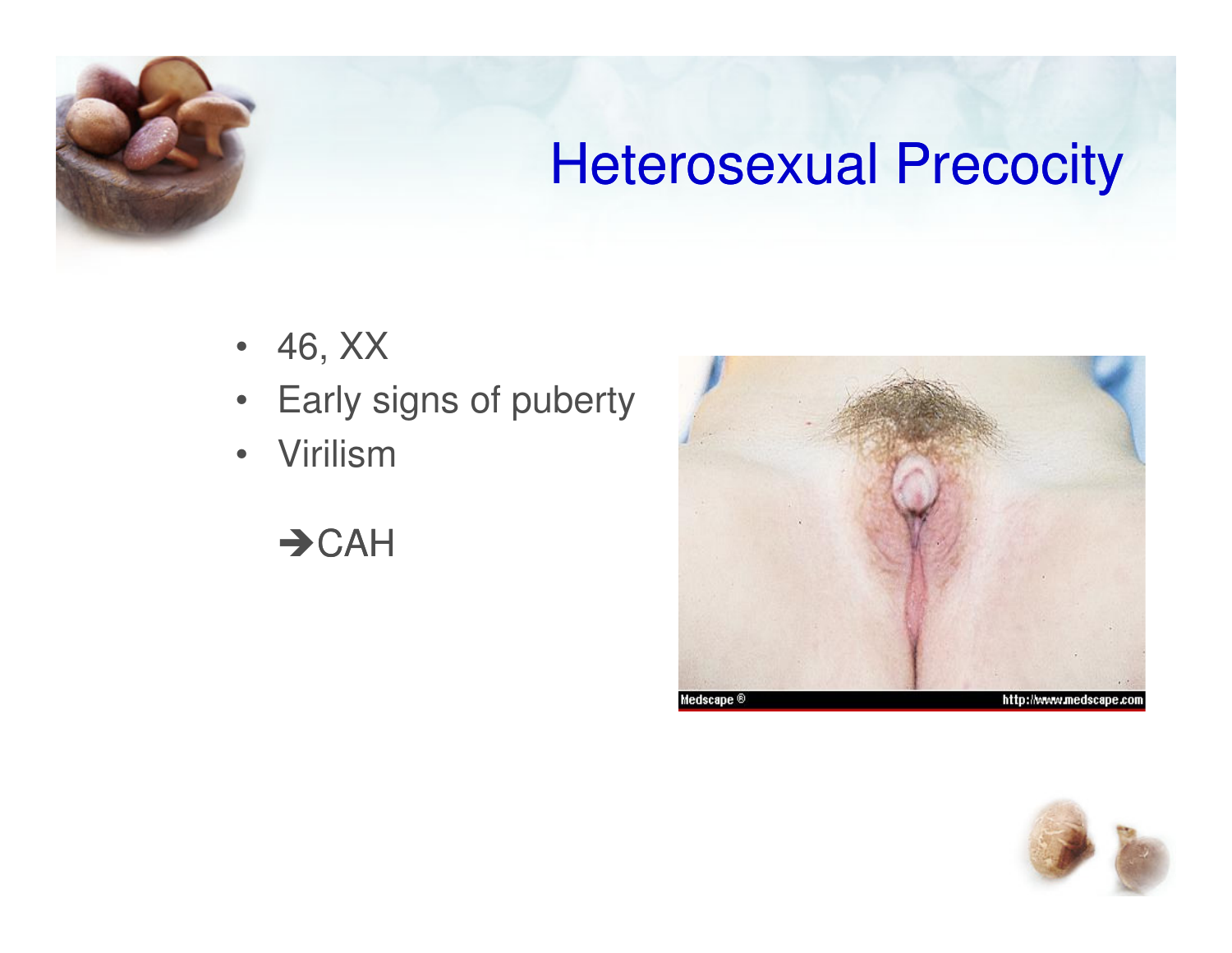#### Heterosexual Precocity

- •46, XX
- Early signs of puberty
- Virilism
	- $\rightarrow$  CAH



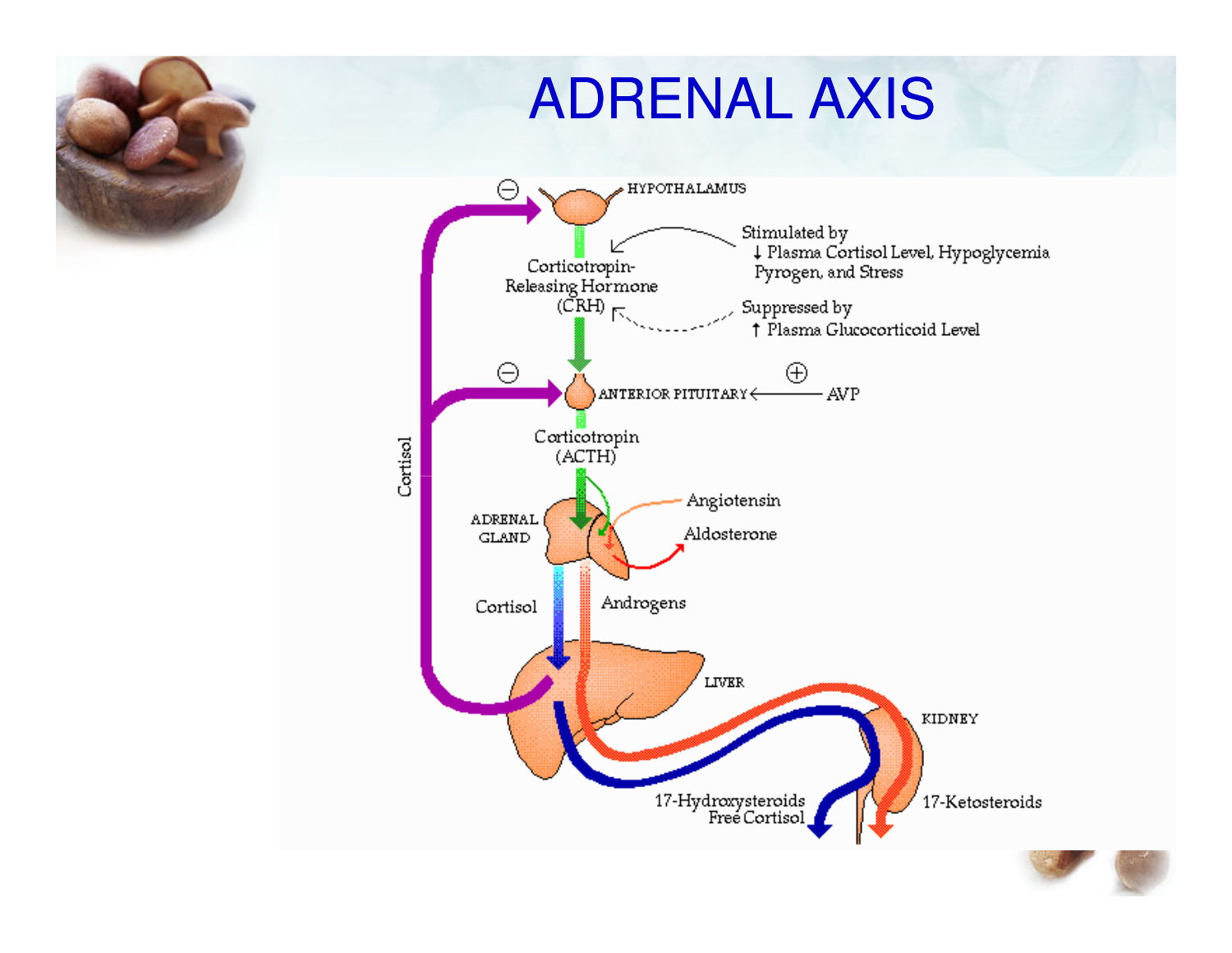

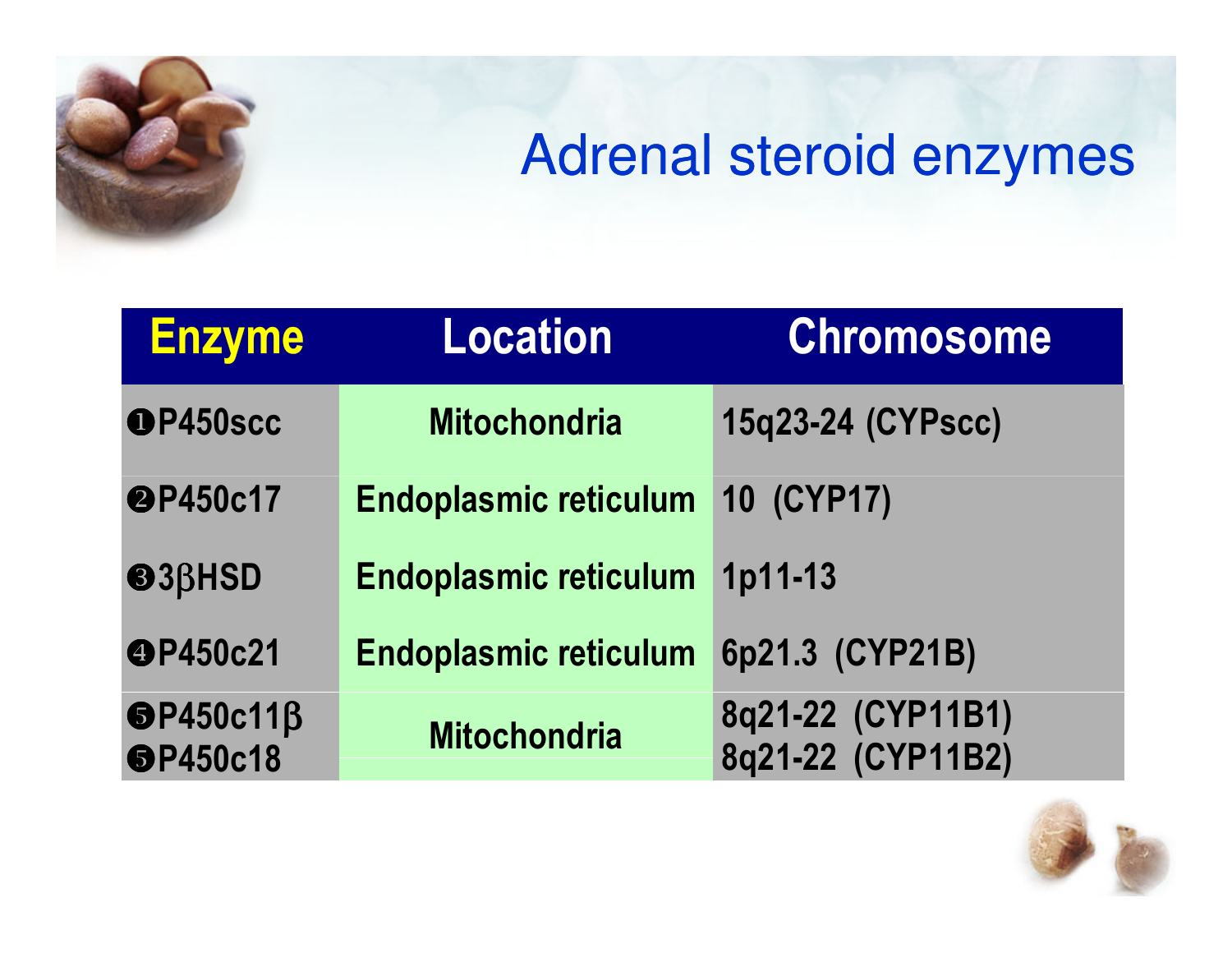## Adrenal steroid enzymes

| <b>Enzyme</b>                               | <b>Location</b>              | <b>Chromosome</b>                      |
|---------------------------------------------|------------------------------|----------------------------------------|
| OP450scc                                    | <b>Mitochondria</b>          | 15q23-24 (CYPscc)                      |
| <b>@P450c17</b>                             | <b>Endoplasmic reticulum</b> | 10 (CYP17)                             |
| $\bigcirc$ 3 $\beta$ HSD                    | <b>Endoplasmic reticulum</b> | 1p11-13                                |
| <b>@P450c21</b>                             | <b>Endoplasmic reticulum</b> | 6p21.3 (CYP21B)                        |
| $\Theta$ P450c11 $\beta$<br><b>SP450c18</b> | <b>Mitochondria</b>          | 8q21-22 (CYP11B1)<br>8q21-22 (CYP11B2) |

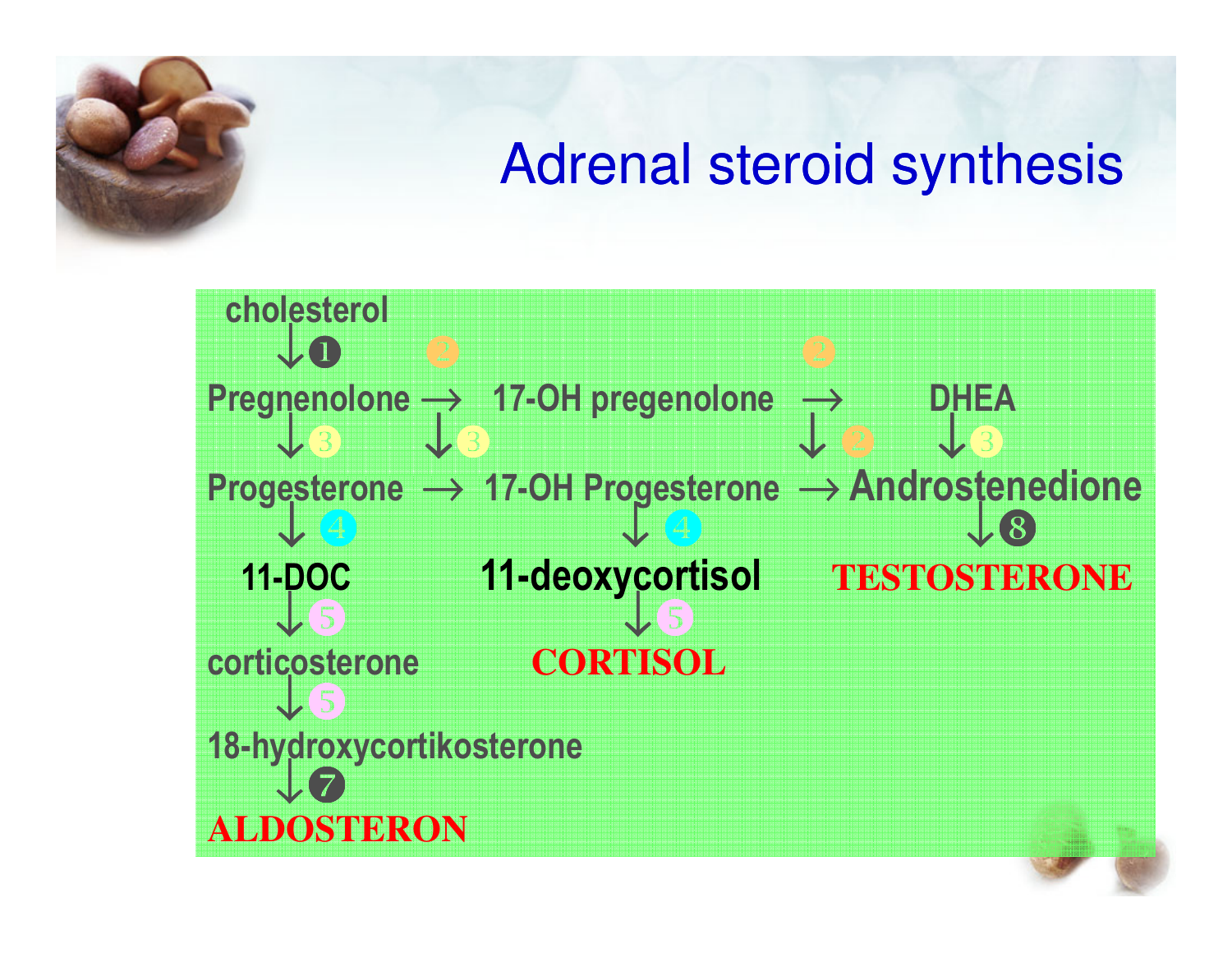

#### Adrenal steroid synthesis

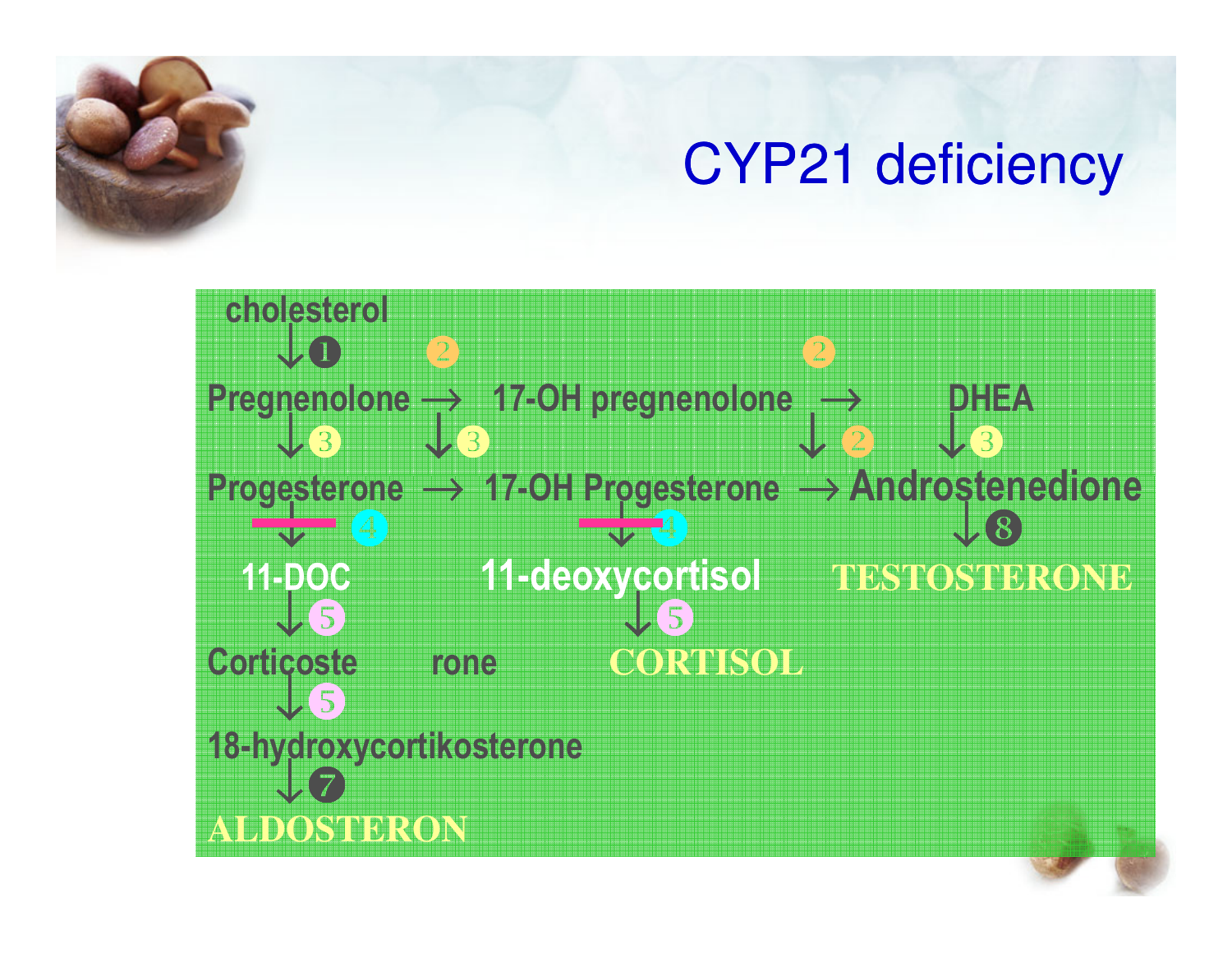

#### CYP21 deficiency

cholesterol $\sqrt{1}$  - - Pregnenolone → 17-OH pregnenolone <sup>→</sup> DHEA <sup>↓</sup> $\begin{array}{lll} \textcircled{\scriptsize 8} & \textcolor{red}{\downarrow \textcolor{red}{\textcircled{\scriptsize 8}}} & \textcolor{red}{\downarrow \textcolor{red}{\textcircled{\scriptsize 2}}} \\ \textup{there are:} & \textcolor{red}{\uparrow \textcolor{red}{\textcircled{\scriptsize 1}}} & \textcolor{red}{\uparrow \textcolor{red}{\textcircled{\scriptsize 1}}} & \textcolor{red}{\downarrow \textcolor{red}{\textcircled{\scriptsize 2}}} \\ \textup{there are:} & \textcolor{red}{\uparrow \textcolor{red}{\textcircled{\scriptsize 1}}} & \textcolor{red}{\uparrow \textcolor{red}{\textcircled{\scriptsize 1}}} & \$  $\overrightarrow{P}$  DHEA Progesterone → <sup>17</sup> -OH Progesterone OH → Androstenedione <sup>↓</sup> $\sqrt{4}$  <sup>↓</sup> <sup>↓</sup> 11-DOC 11-deoxycortisol **TESTOSTERONE**↓S<br>coste rone CORTISOL Corticoste rone **CORTISOL** $\sqrt{5}$ 18-hydroxycortikosterone $\sqrt{2}$ **ALDOSTERON**

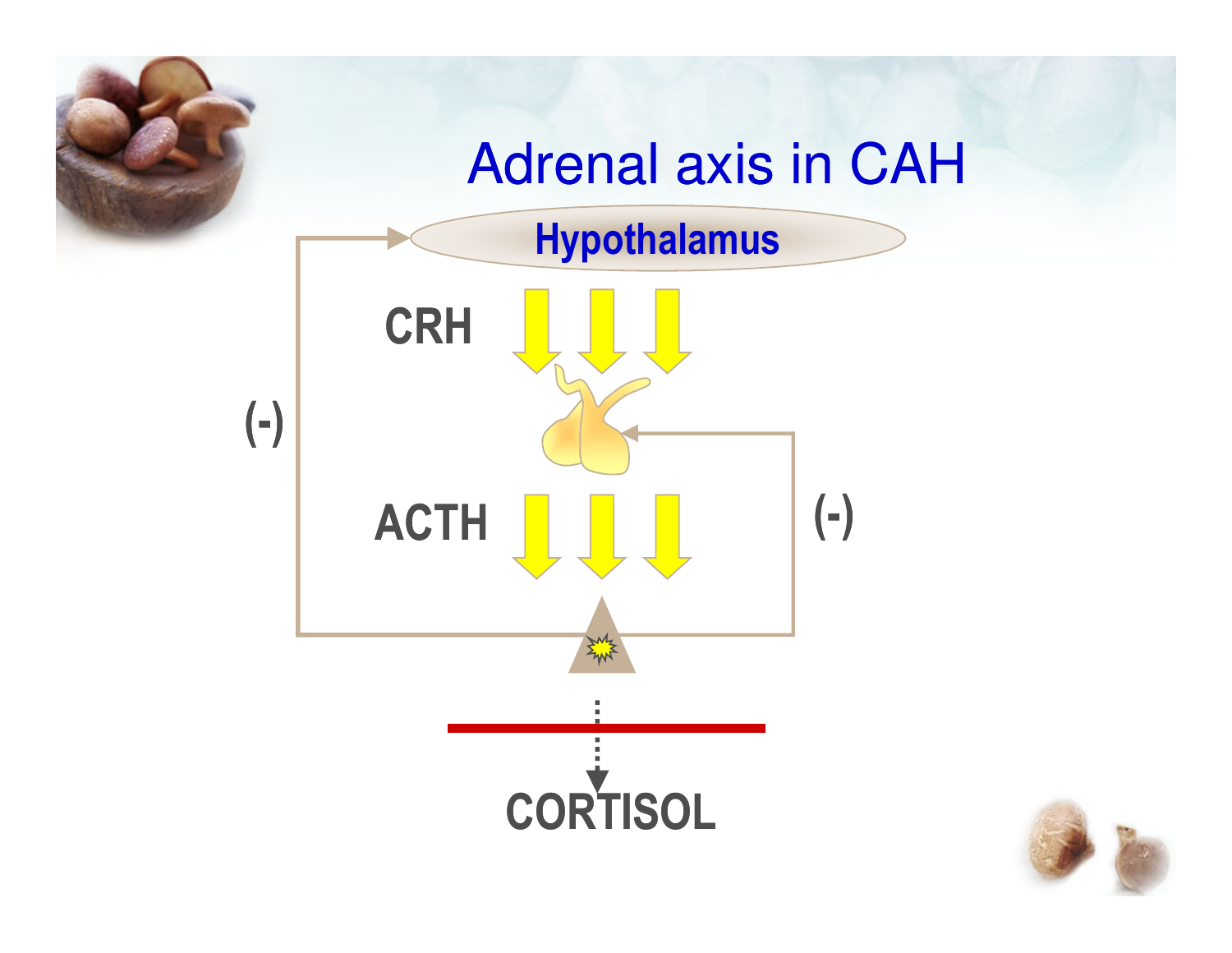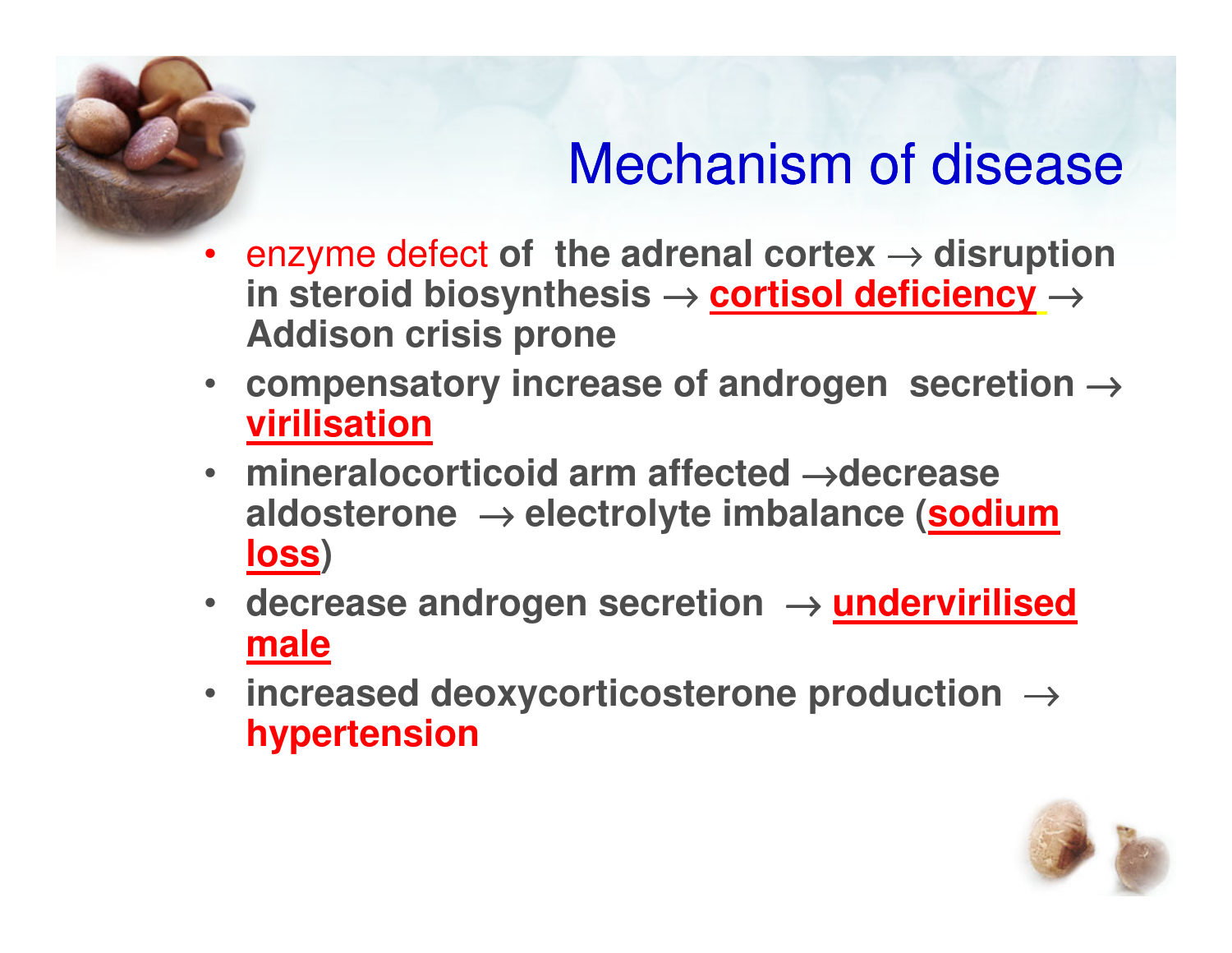

## Mechanism of disease

- • enzyme defect **of the adrenal cortex** <sup>→</sup> **disruption in steroid biosynthesis** → **cortisol deficiency** <sup>→</sup> **Addison crisis prone**
- **compensatory increase of androgen secretion** <sup>→</sup> $\bullet$ **virilisation**
- **mineralocorticoid arm affected** →**decrease aldosterone** → **electrolyte imbalance (sodium loss)**
- **decrease androgen secretion** <sup>→</sup> **undervirilised male**
- **increased deoxycorticosterone production** <sup>→</sup>•**hypertension**

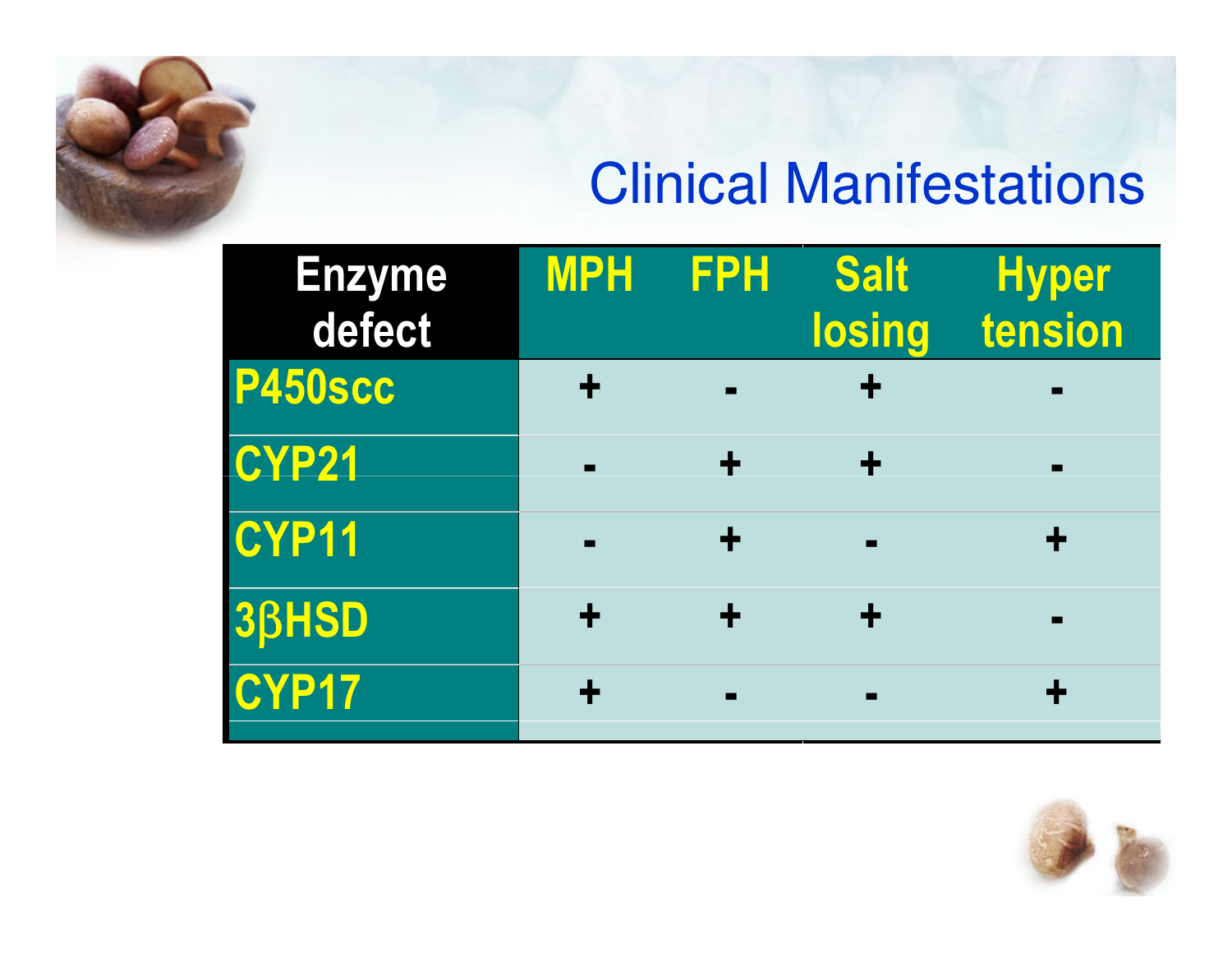#### Clinical Manifestations

| <b>Enzyme</b><br>defect | <b>MPH</b>     | <b>FPH</b>     | <b>Salt</b><br><b>losing</b> | <b>Hyper</b><br>tension |
|-------------------------|----------------|----------------|------------------------------|-------------------------|
| P450scc                 |                | $\blacksquare$ |                              |                         |
| CYP21                   | $\blacksquare$ |                |                              | $\blacksquare$          |
| CYP11                   | $\blacksquare$ |                |                              |                         |
| 3BHSD                   |                | ╈              |                              | $\blacksquare$          |
| CYP17                   |                | $\blacksquare$ | $\blacksquare$               |                         |

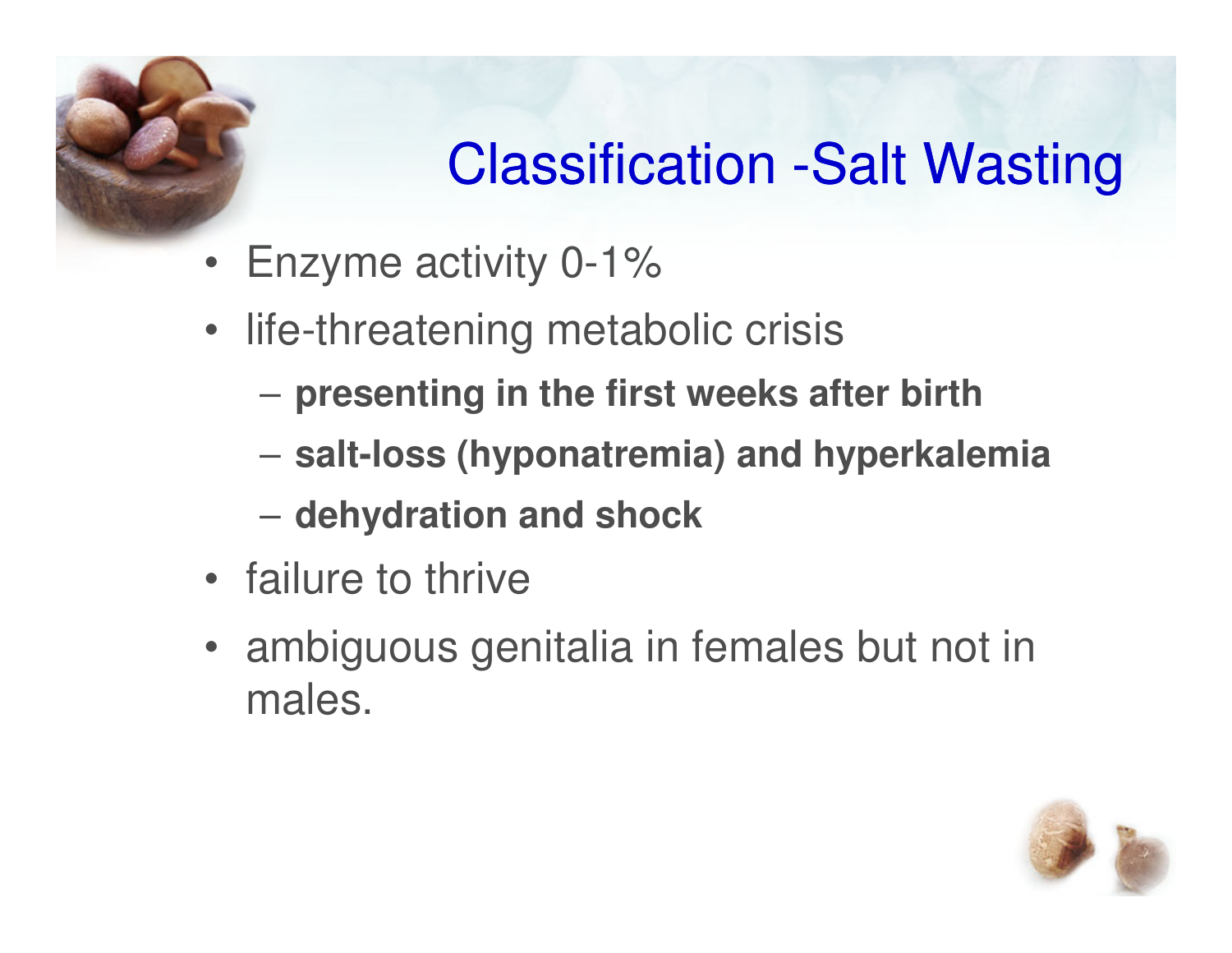

# Classification -Salt Wasting

- Enzyme activity 0-1%
- life-threatening metabolic crisis
	- –**presenting in the first weeks after birth**
	- $\mathcal{L}_{\mathcal{A}}$  , where  $\mathcal{L}_{\mathcal{A}}$  is the set of the set of the set of the set of the set of the set of the set of the set of the set of the set of the set of the set of the set of the set of the set of the set of the **salt-loss (hyponatremia) and hyperkalemia**
	- **dehydration and shock**
- failure to thrive
- ambiguous genitalia in females but not in males.

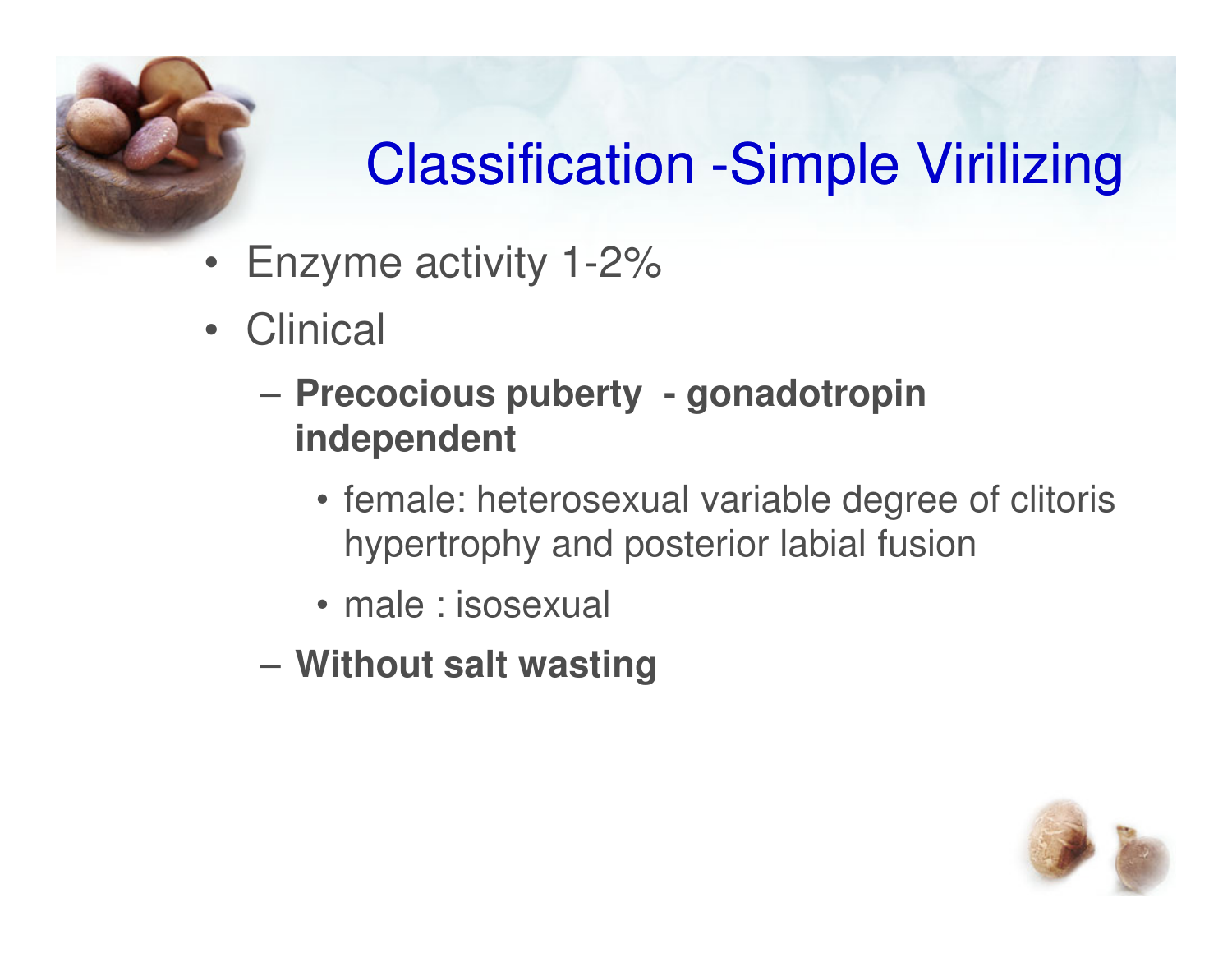# **Classification -Simple Virilizing**

- Enzyme activity 1-2%
- Clinical
	- – **Precocious puberty - gonadotropin independent**
		- female: heterosexual variable degree of clitoris hypertrophy and posterior labial fusion
		- male : isosexual
	- –**Without salt wasting**

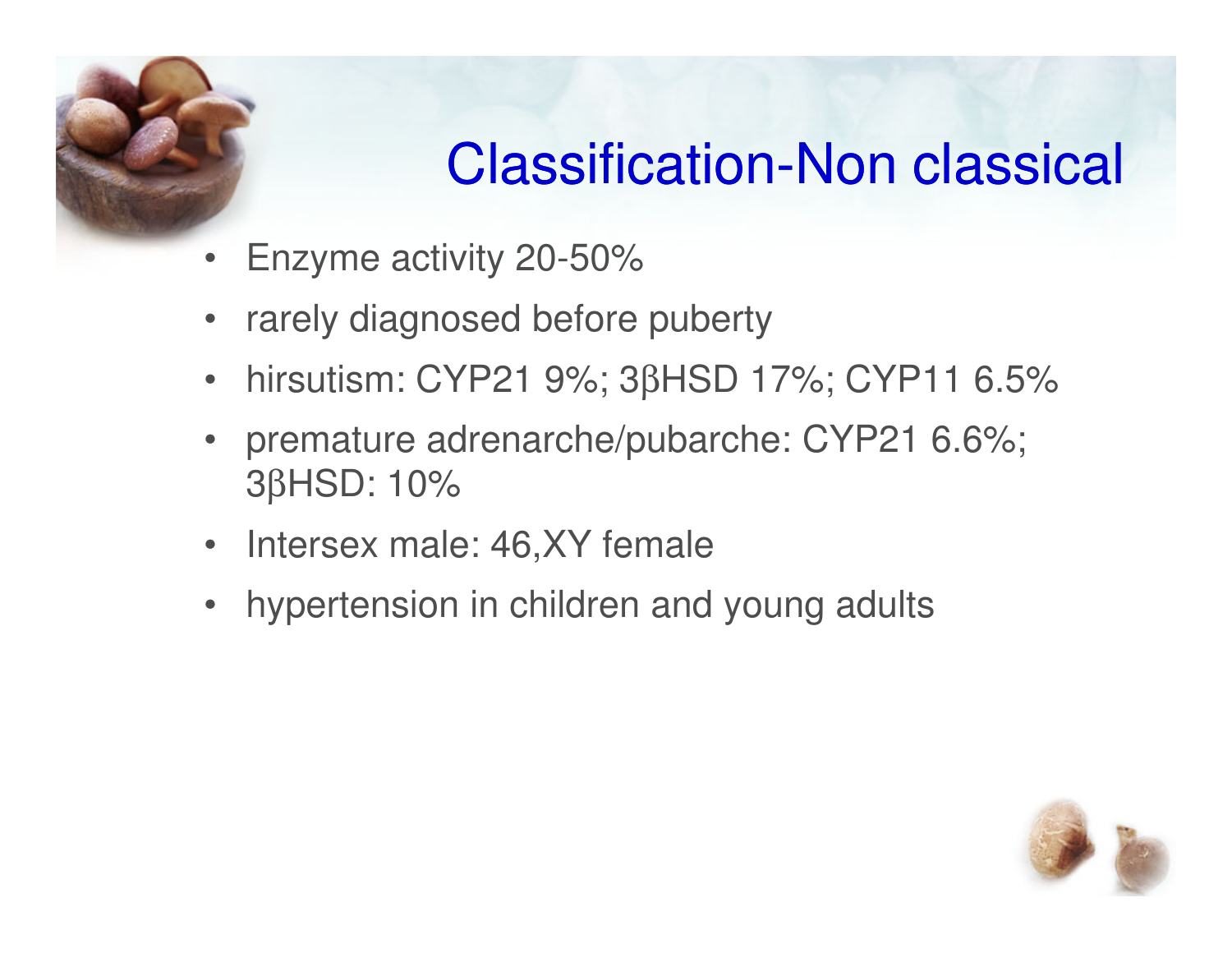

# Classification-Non classical

- Enzyme activity 20-50%
- rarely diagnosed before puberty  $\bullet$
- $\bullet$ hirsutism: CYP21 9%; 3βHSD 17%; CYP11 6.5%
- premature adrenarche/pubarche: CYP21 6.6%;  $\bullet$ 3βHSD: 10%
- Intersex male: 46,XY female
- $\bullet$ hypertension in children and young adults

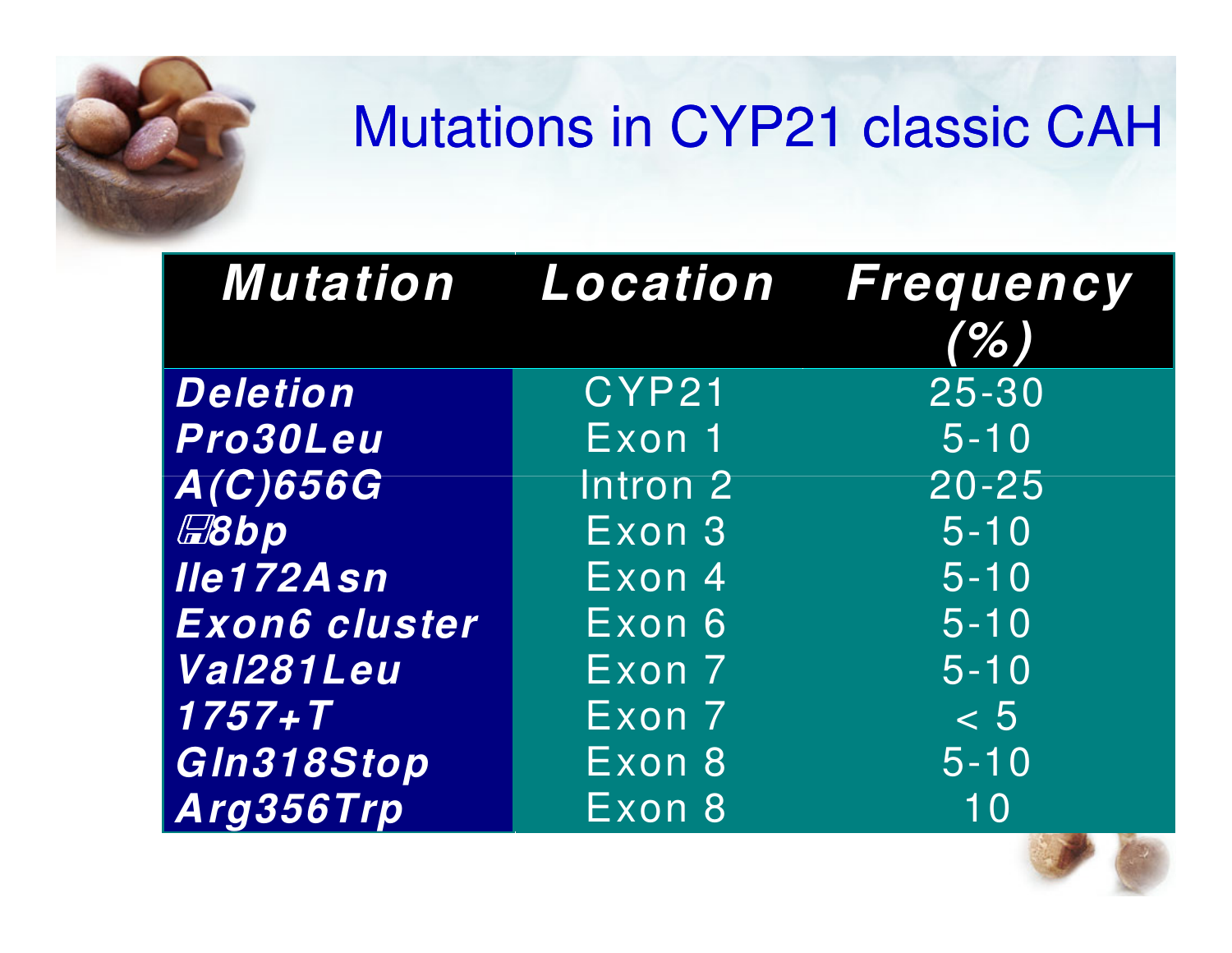## Mutations in CYP21 classic CAH

|                      |          | <b>Mutation Location Frequency</b> |  |
|----------------------|----------|------------------------------------|--|
|                      |          | $( \%$                             |  |
| Deletion             | CYP21    | $25 - 30$                          |  |
| Pro30Leu             | Exon 1   | $5 - 10$                           |  |
| $A(C)$ 656G          | Intron 2 | $20 - 25$                          |  |
| <b>E8bp</b>          | Exon 3   | $5 - 10$                           |  |
| <b>Ile172Asn</b>     | Exon 4   | $5 - 10$                           |  |
| <b>Exon6 cluster</b> | Exon 6   | $5 - 10$                           |  |
| Val281Leu            | Exon 7   | $5 - 10$                           |  |
| $1757 + T$           | Exon 7   | < 5                                |  |
| GIn318Stop           | Exon 8   | $5 - 10$                           |  |
| Arg356Trp            | Exon 8   | 10                                 |  |

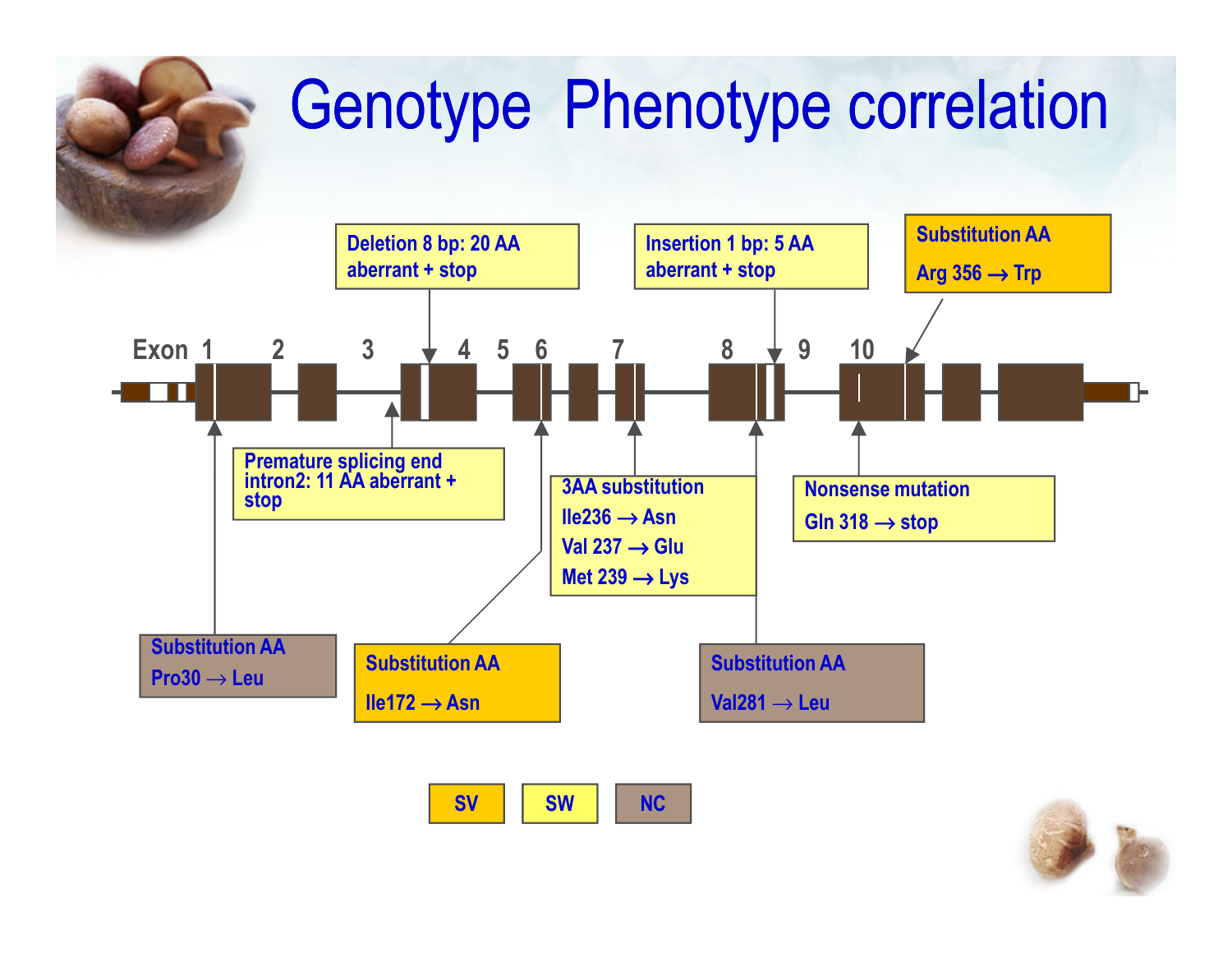

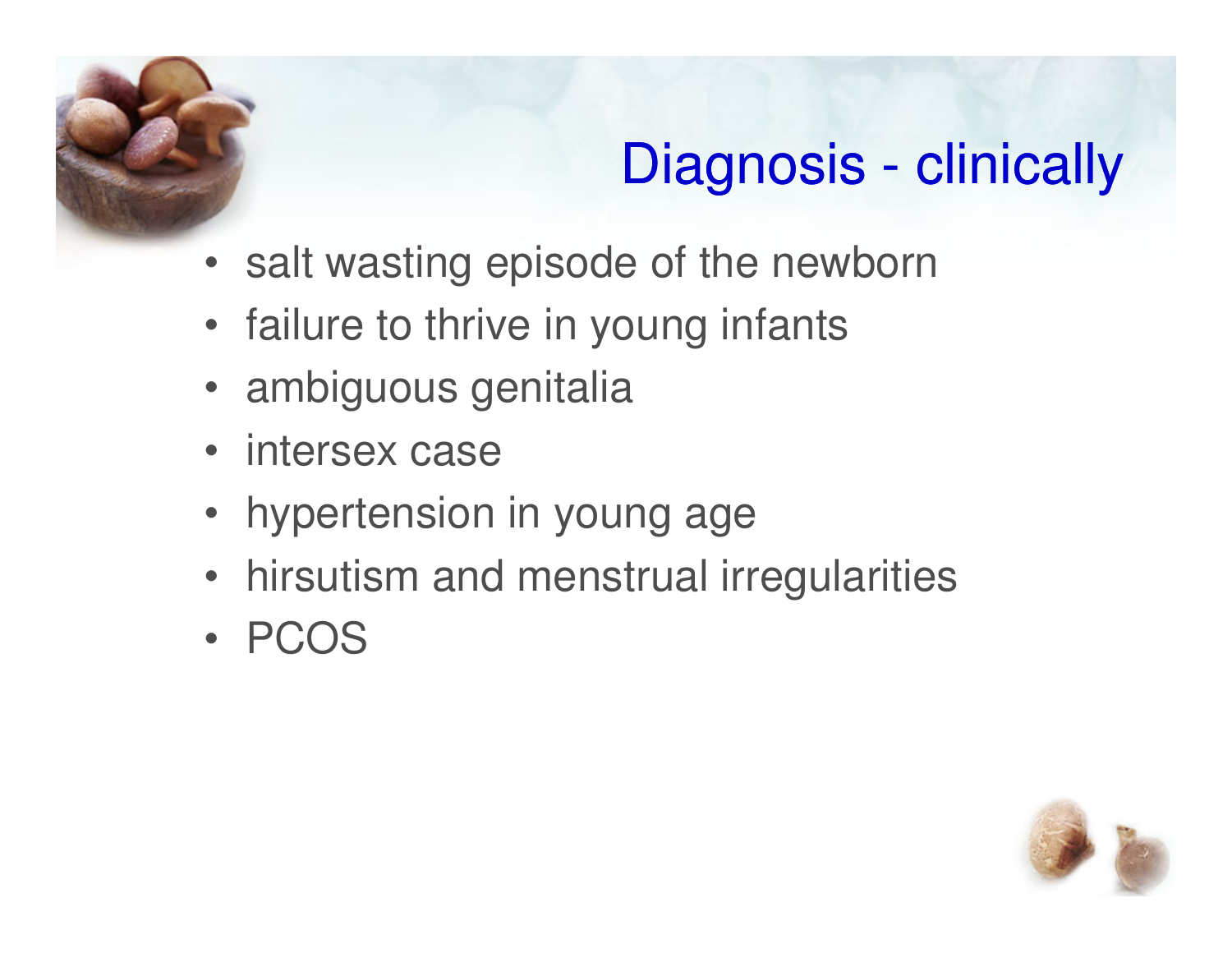

## Diagnosis - clinically

- salt wasting episode of the newborn
- failure to thrive in young infants
- ambiguous genitalia
- intersex case
- hypertension in young age
- hirsutism and menstrual irregularities
- PCOS

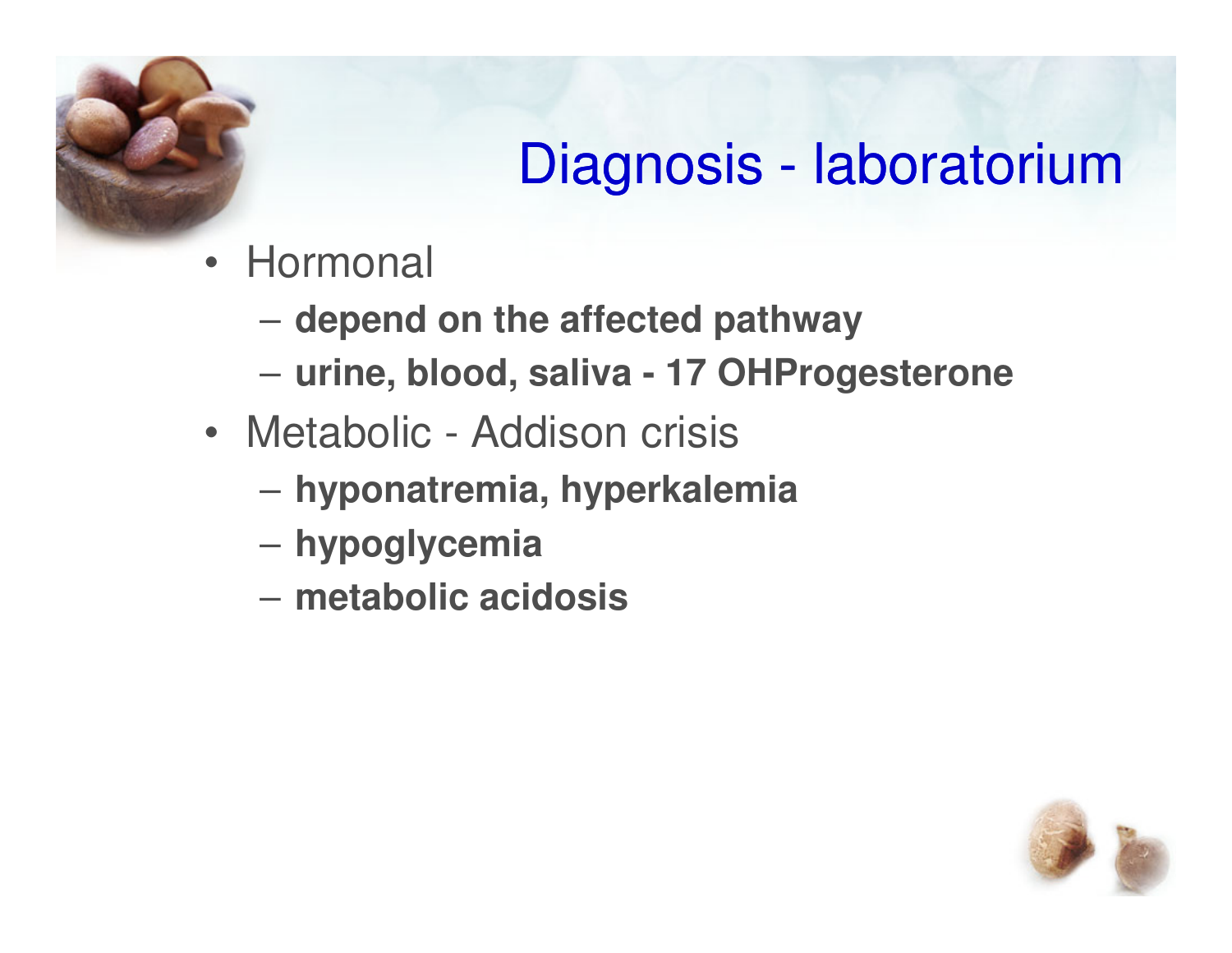#### Diagnosis - laboratorium

- Hormonal
	- **depend on the affected pathway**
	- **urine, blood, saliva - 17 OHProgesterone**
- Metabolic Addison crisis
	- **hyponatremia, hyperkalemia**
	- **hypoglycemia**
	- **metabolic acidosis**

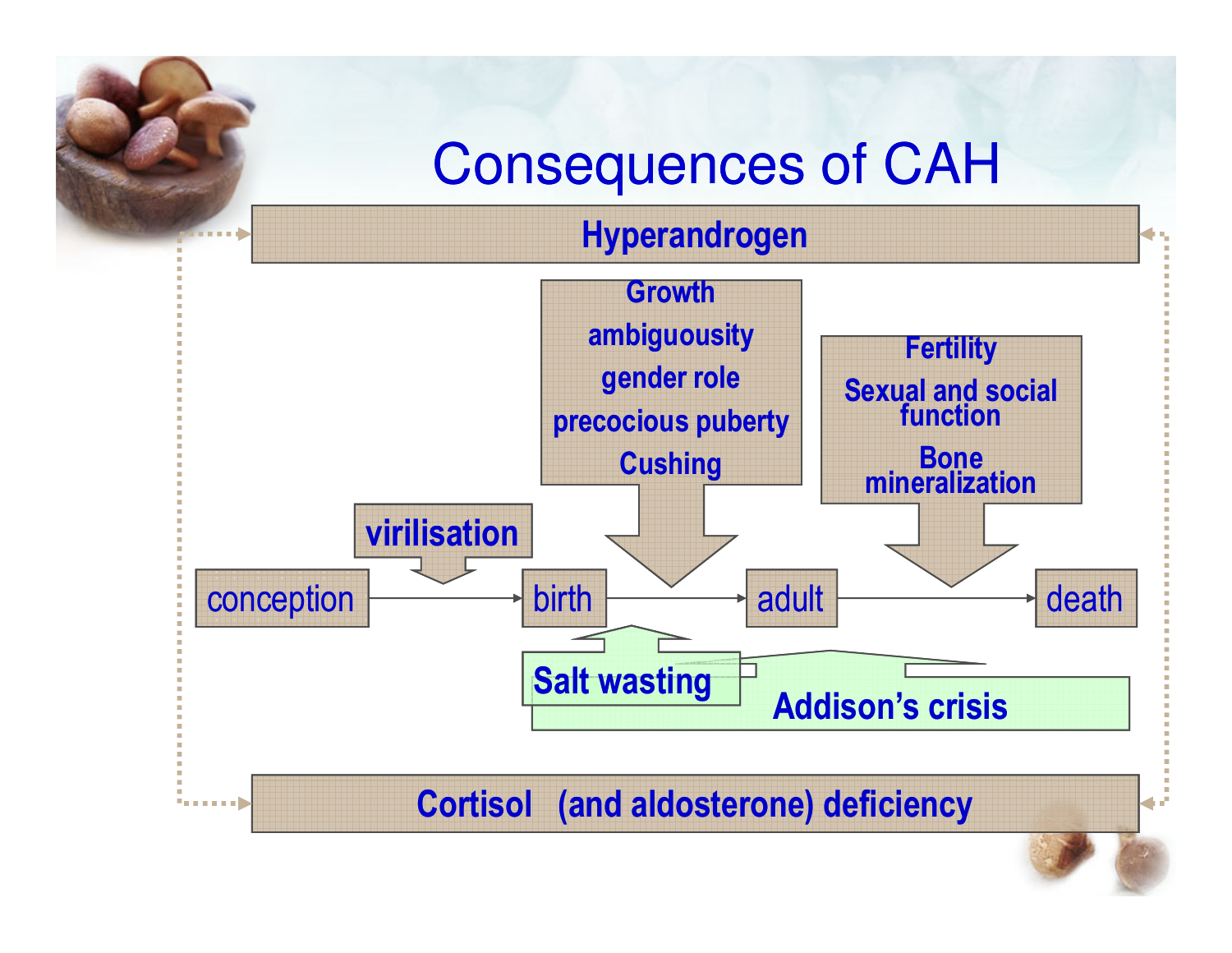#### Consequences of CAH

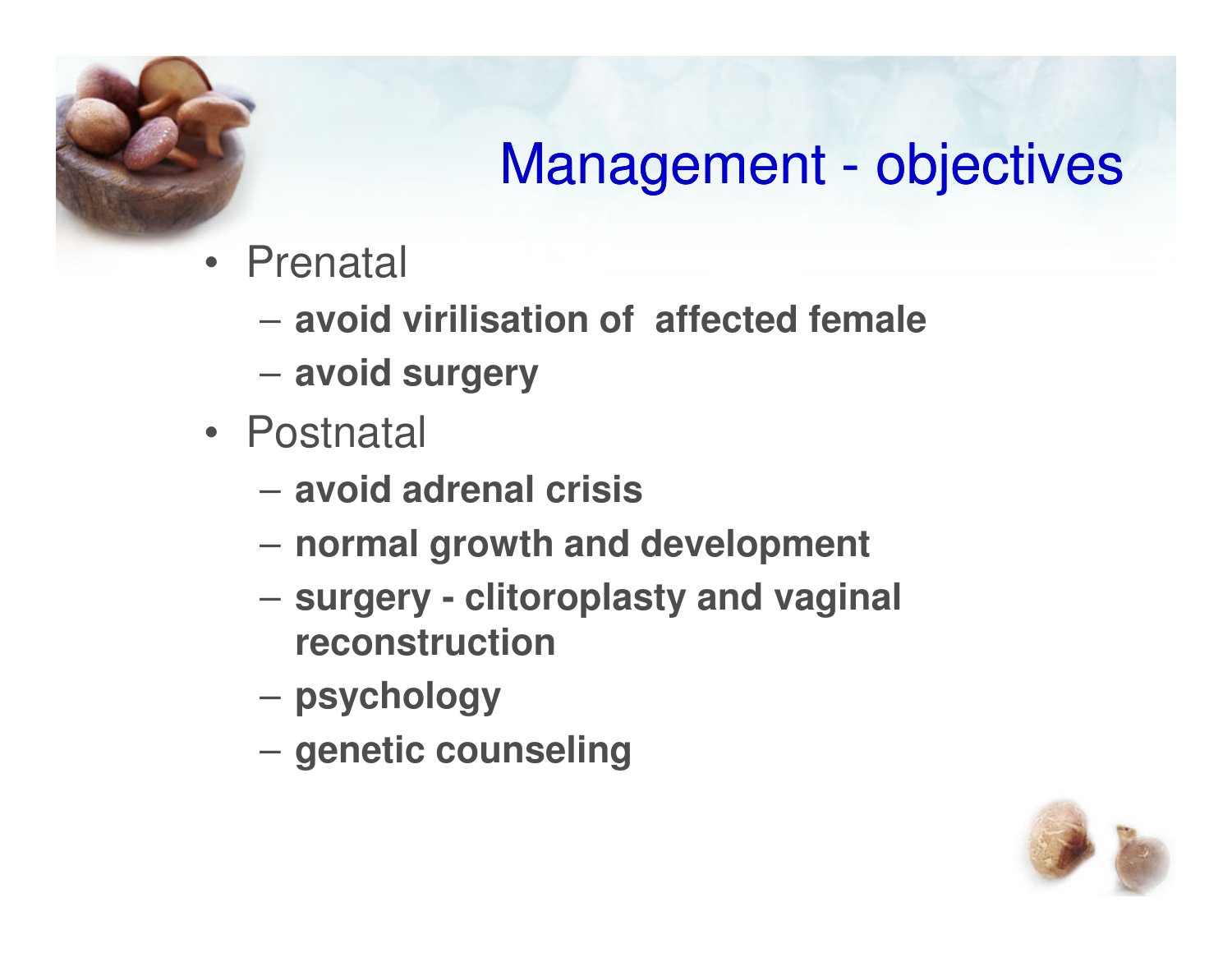## Management - objectives

- Prenatal
	- **avoid virilisation of affected female**
	- **avoid surgery**
- Postnatal
	- **avoid adrenal crisis**
	- **normal growth and development**
	- **surgery - clitoroplasty and vaginal reconstruction**
	- –**psychology**
	- –**genetic counseling**

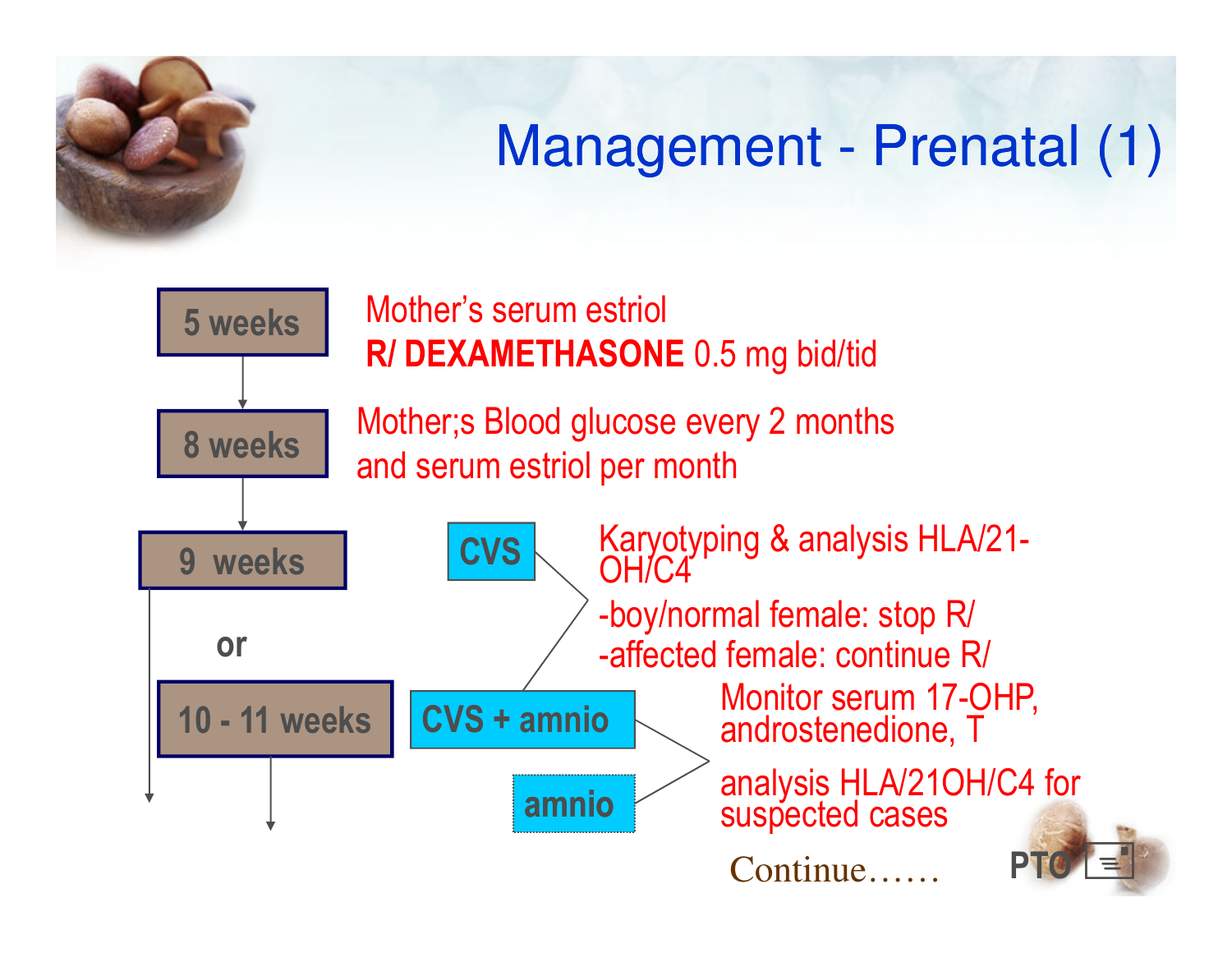

## Management - Prenatal (1)

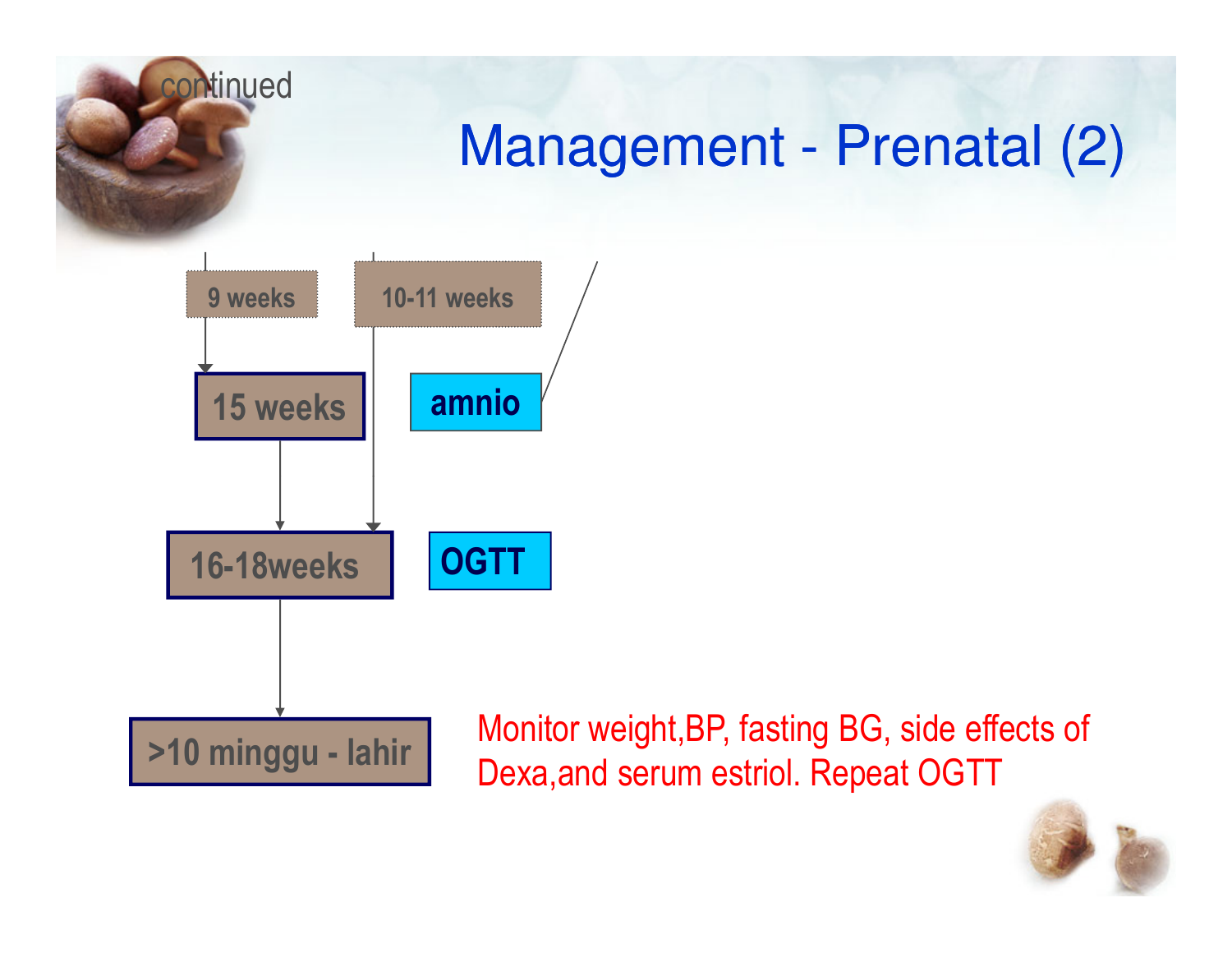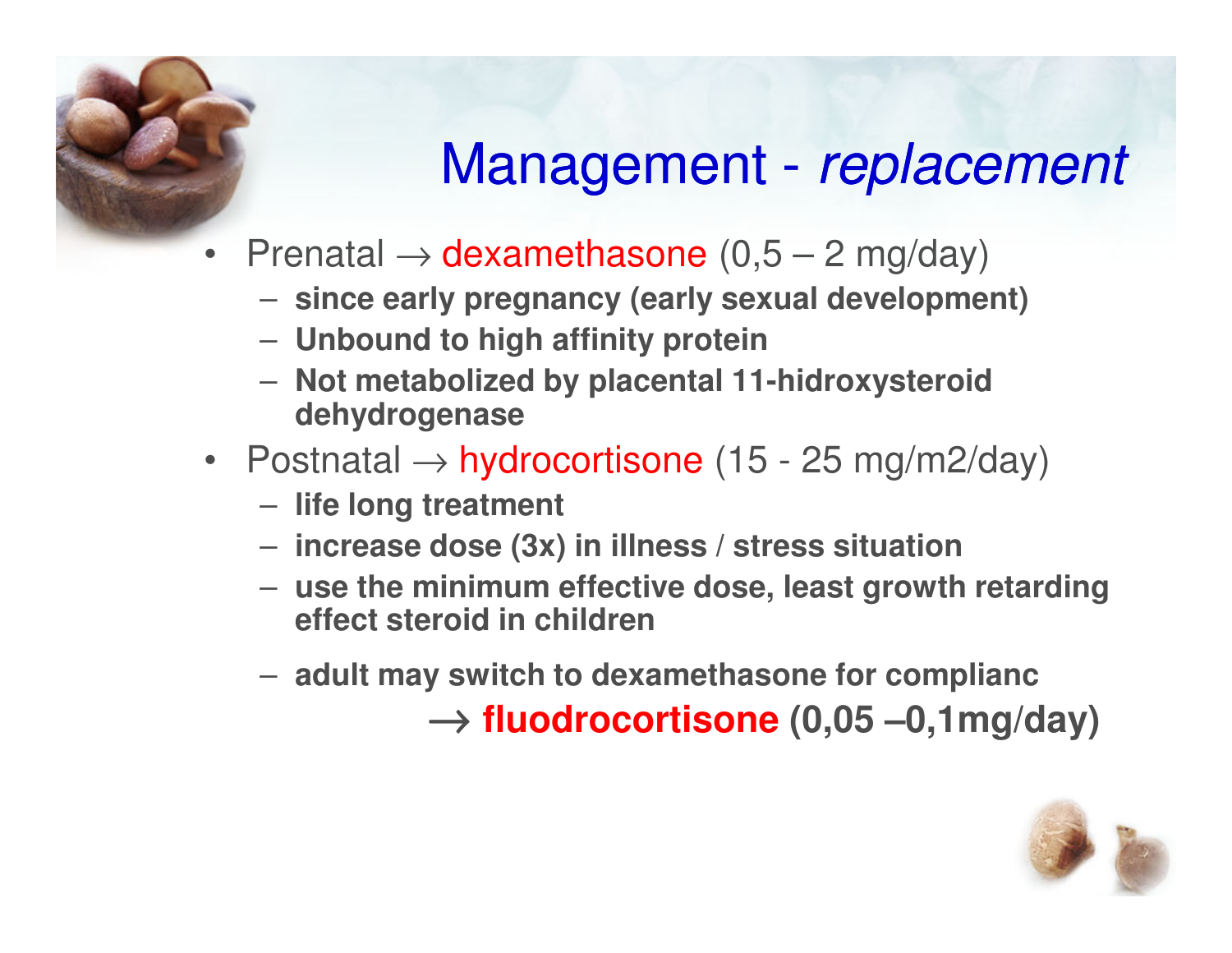

## Management - *replacement*

- Prenatal  $\rightarrow$  dexamethasone  $(0,5 2 \text{ mg/day})$ <br>- since early pregnancy (early sexual developments)
	- **since early pregnancy (early sexual development)**
	- **Unbound to high affinity protein**
	- Not metaholized by nlacental 1 **Not metabolized by placental 11-hidroxysteroid dehydrogenase**
- Postnatal  $\rightarrow$  hydrocortisone (15 25 mg/m2/day) life long treatment
	- **life long treatment**
	- **increase dose (3x) in illness / stress situation**
	- usa tha minimum affactiva dosa "lagst arowt" \_ **use the minimum effective dose, least growth retarding effect steroid in children**
	- **adult may switch to dexamethasone for complianc**  → **fluodrocortisone (0,05 –0,1mg/day)**

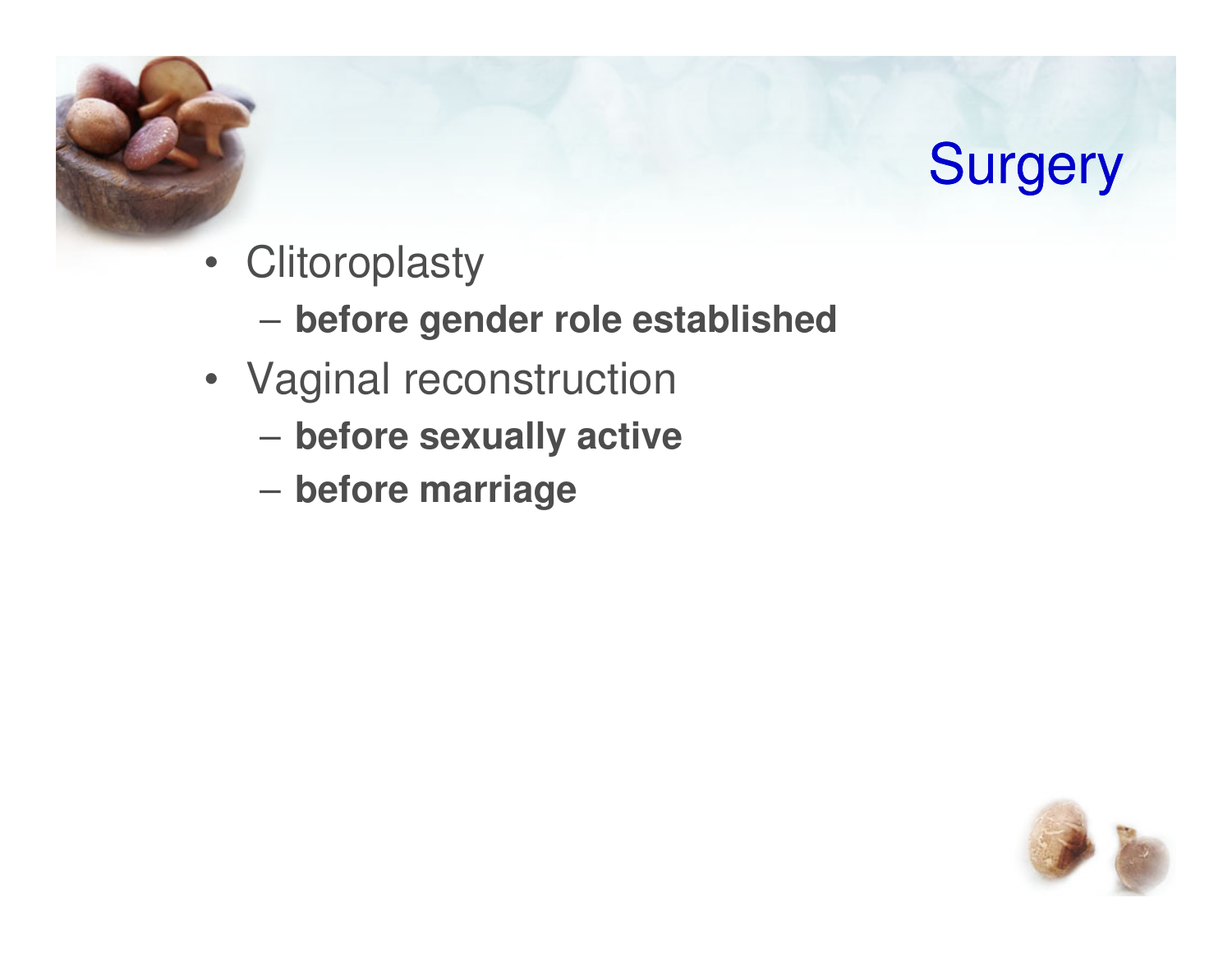

- Clitoroplasty
	- **before gender role established**
- Vaginal reconstruction
	- **before sexually active**
	- **before marriage**

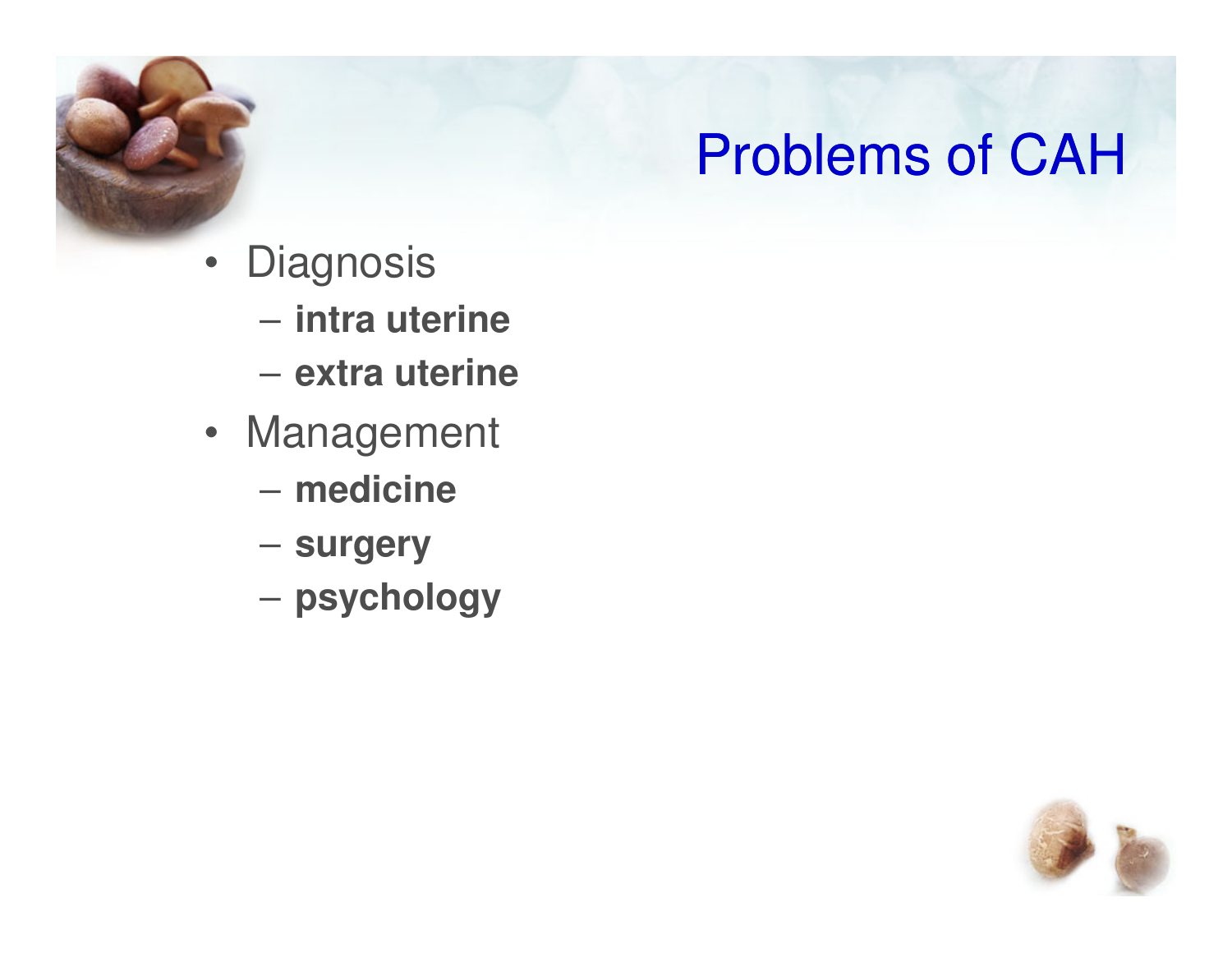#### Problems of CAH

- Diagnosis
	- **intra uterine**
	- **extra uterine**
- Management
	- **medicine**
	- **surgery**
	- **psychology**

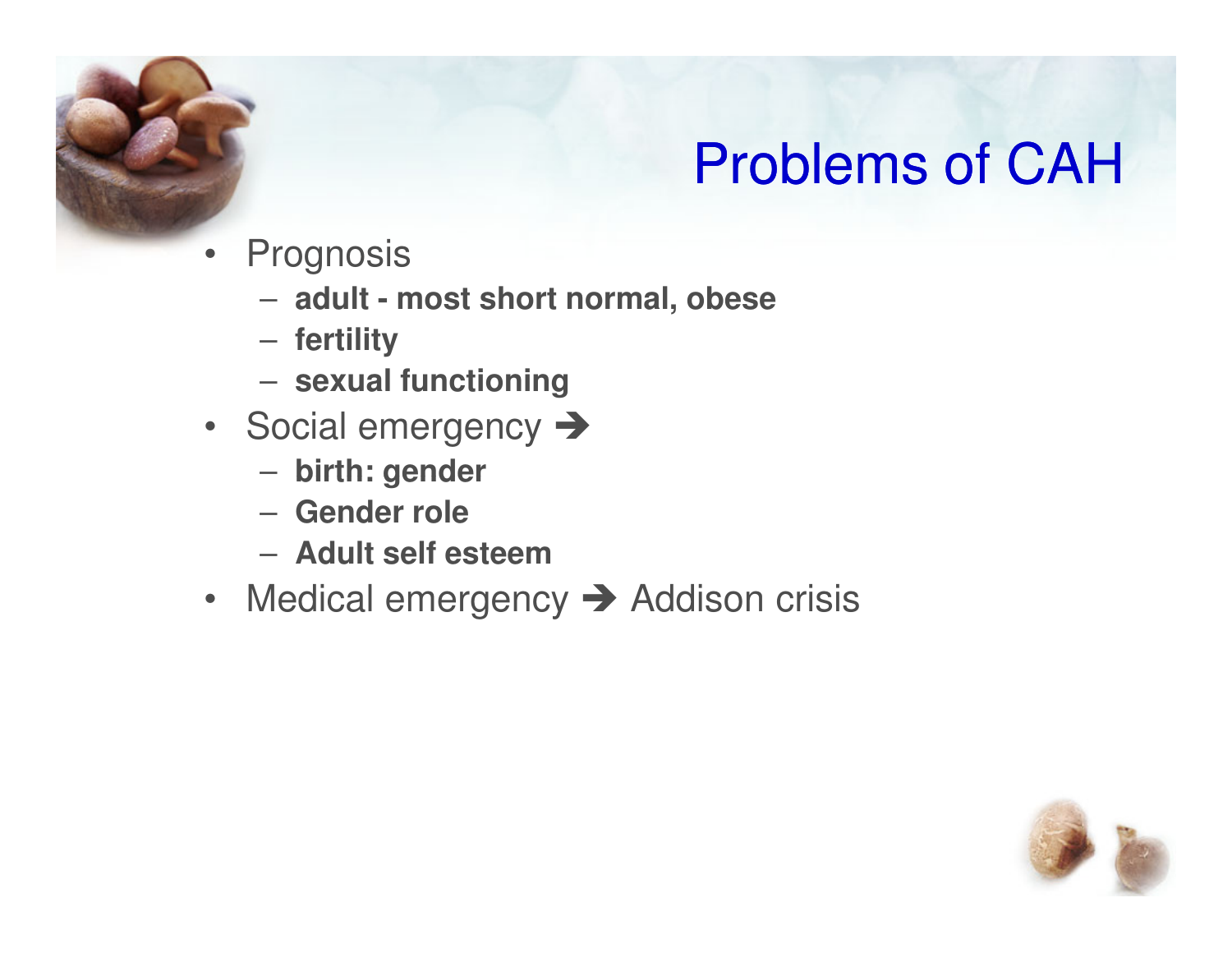#### Problems of CAH

- • Prognosis
	- **adult - most short normal, obese**
	- **fertility**
	- **sexual functioning**
- Social emergency >
	- **birth: gender**
	- **Gender role**
	- **Adult self esteem**
- Medical emergency  $\rightarrow$  Addison crisis

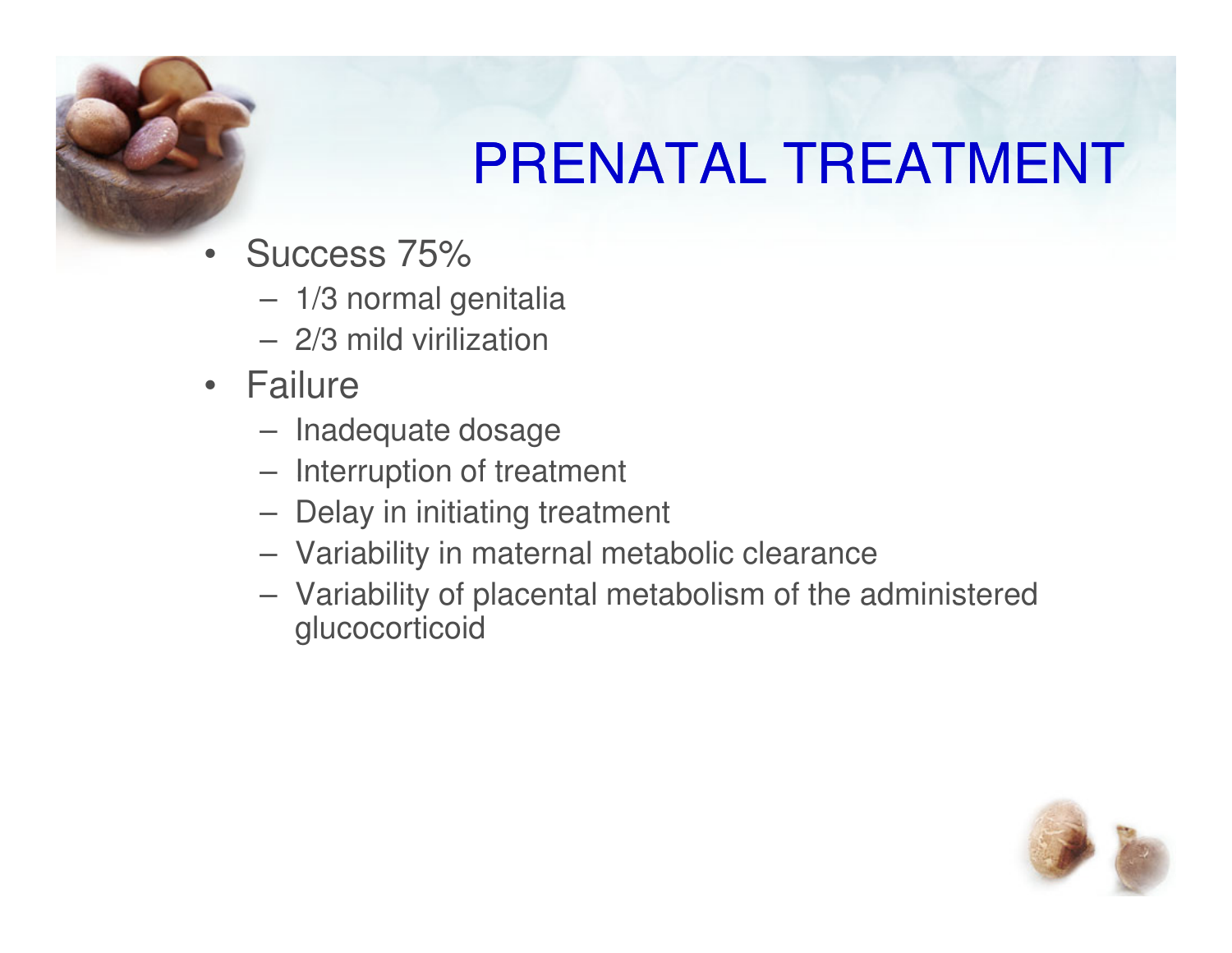

## PRENATAL TREATMENT

- Success 75%
	- 1/3 normal genitalia
	- 2/3 mild virilization
- Failure
	- –Inadequate dosage
	- $-$  Interruption of treatment
	- Delay in initiating treatment
	- Variability in maternal metabolic clearance
	- Variability of placental metabolism of the administered glucocorticoid

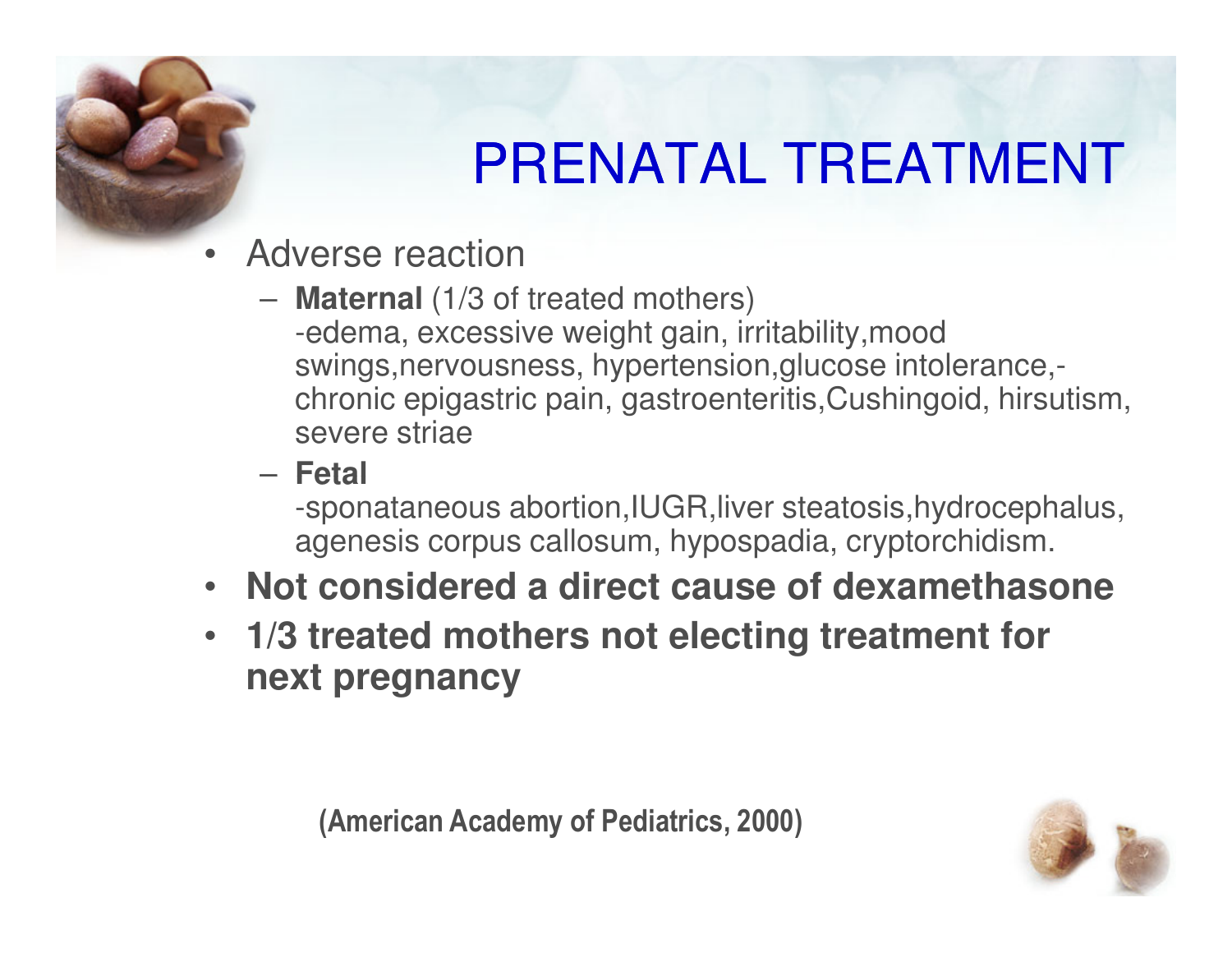

## PRENATAL TREATMENT

- Adverse reaction
	- **Maternal** (1/3 of treated mothers) -edema, excessive weight gain, irritability,mood swings,nervousness, hypertension,glucose intolerance, chronic epigastric pain, gastroenteritis,Cushingoid, hirsutism, severe striae
	- **Fetal**

-sponataneous abortion,IUGR,liver steatosis,hydrocephalus, agenesis corpus callosum, hypospadia, cryptorchidism.

- **Not considered a direct cause of dexamethasone**
- **1/3 treated mothers not electing treatment for next pregnancy**

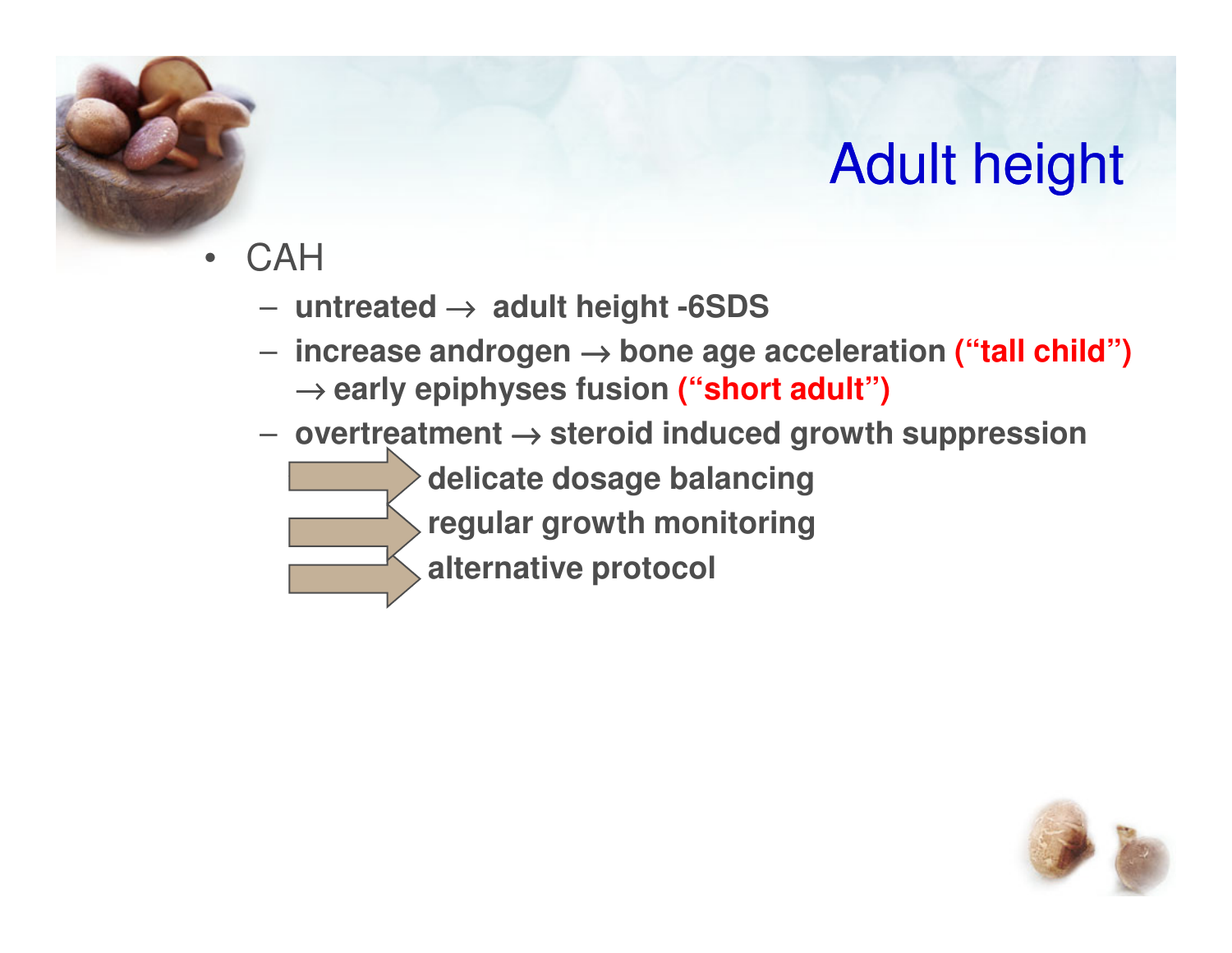

## Adult height

- **CAH** 
	- –**untreated** <sup>→</sup> **adult height -6SDS**
	- **increase androgen** <sup>→</sup> **bone age acceleration ("tall child")** → **early epiphyses fusion ("short adult")**
	- **overtreatment** <sup>→</sup> **steroid induced growth suppression**
		- **delicate dosage balancing**
		- **regular growth monitoring**
			- **alternative protocol**

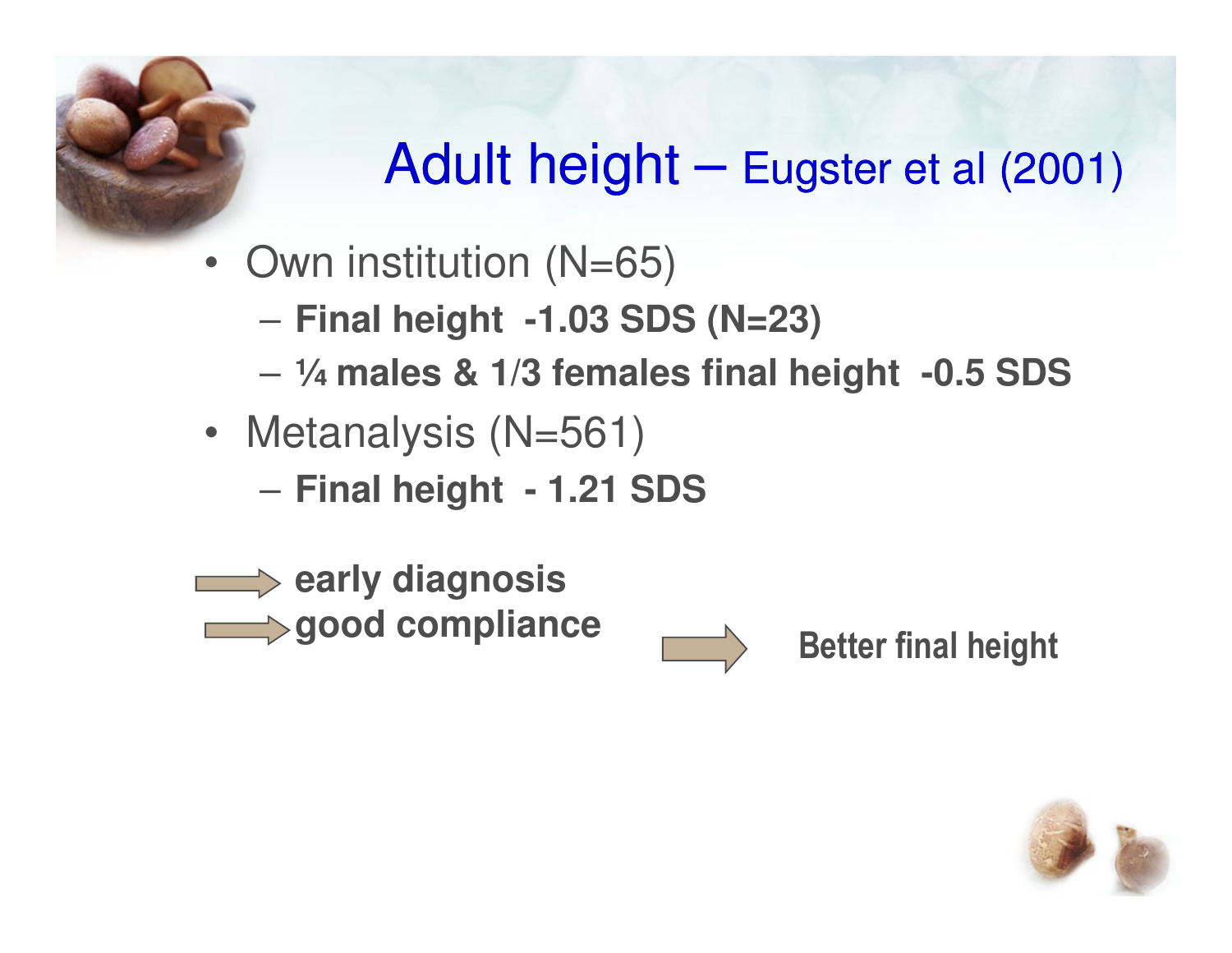# Adult height – Eugster et al (2001)

- Own institution (N=65)
	- **Final height -1.03 SDS (N=23)**
	- **¼ males & 1/3 females final height -0.5 SDS**
- Metanalysis (N=561)
	- **Final height - 1.21 SDS**





Better final height

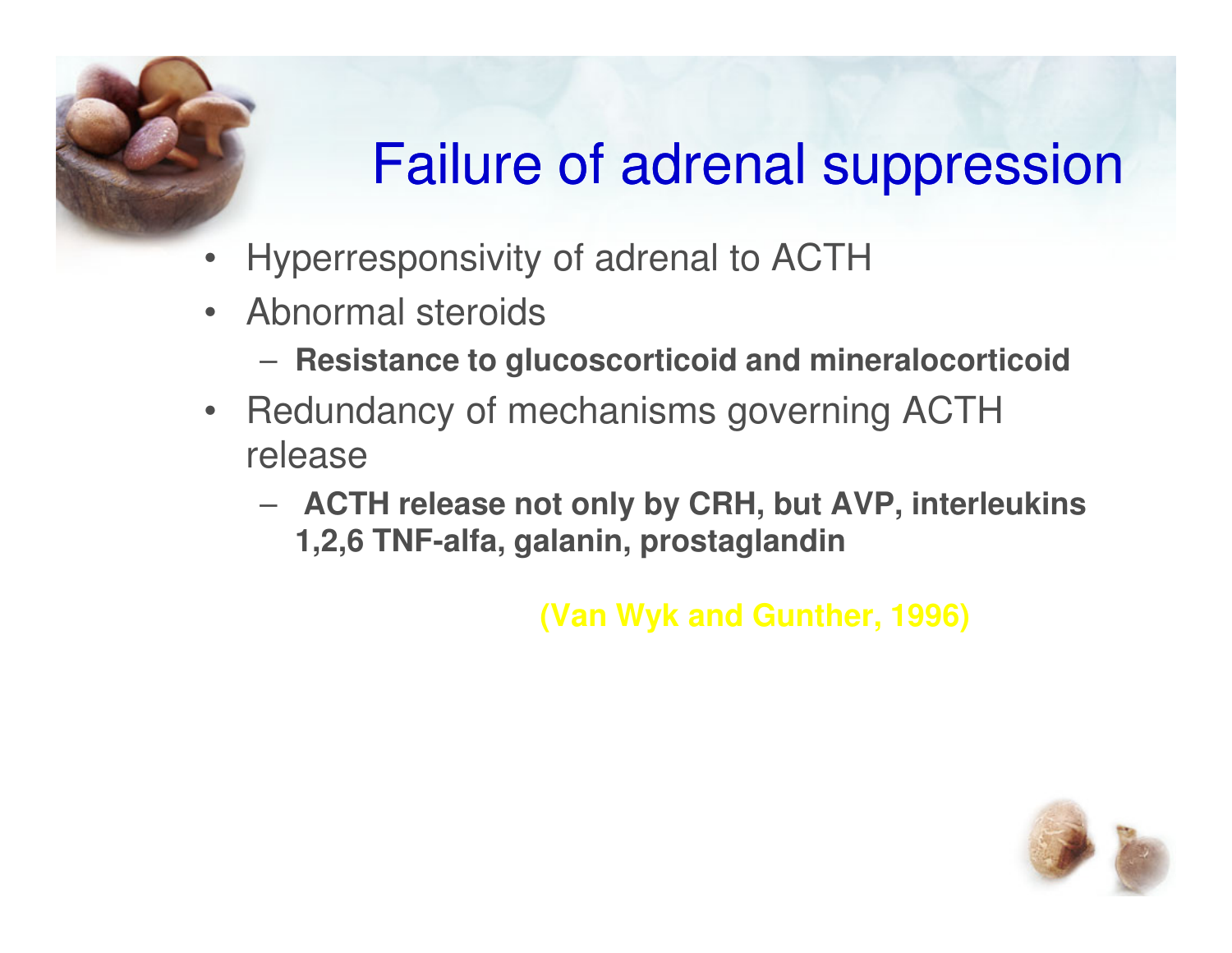## Failure of adrenal suppression

- •Hyperresponsivity of adrenal to ACTH
- • Abnormal steroids
	- **Resistance to glucoscorticoid and mineralocorticoid**
- $\bullet$  Redundancy of mechanisms governing ACTH release
	- **ACTH release not only by CRH, but AVP, interleukins 1,2,6 TNF-alfa, galanin, prostaglandin**

**(Van Wyk and Gunther, 1996)**

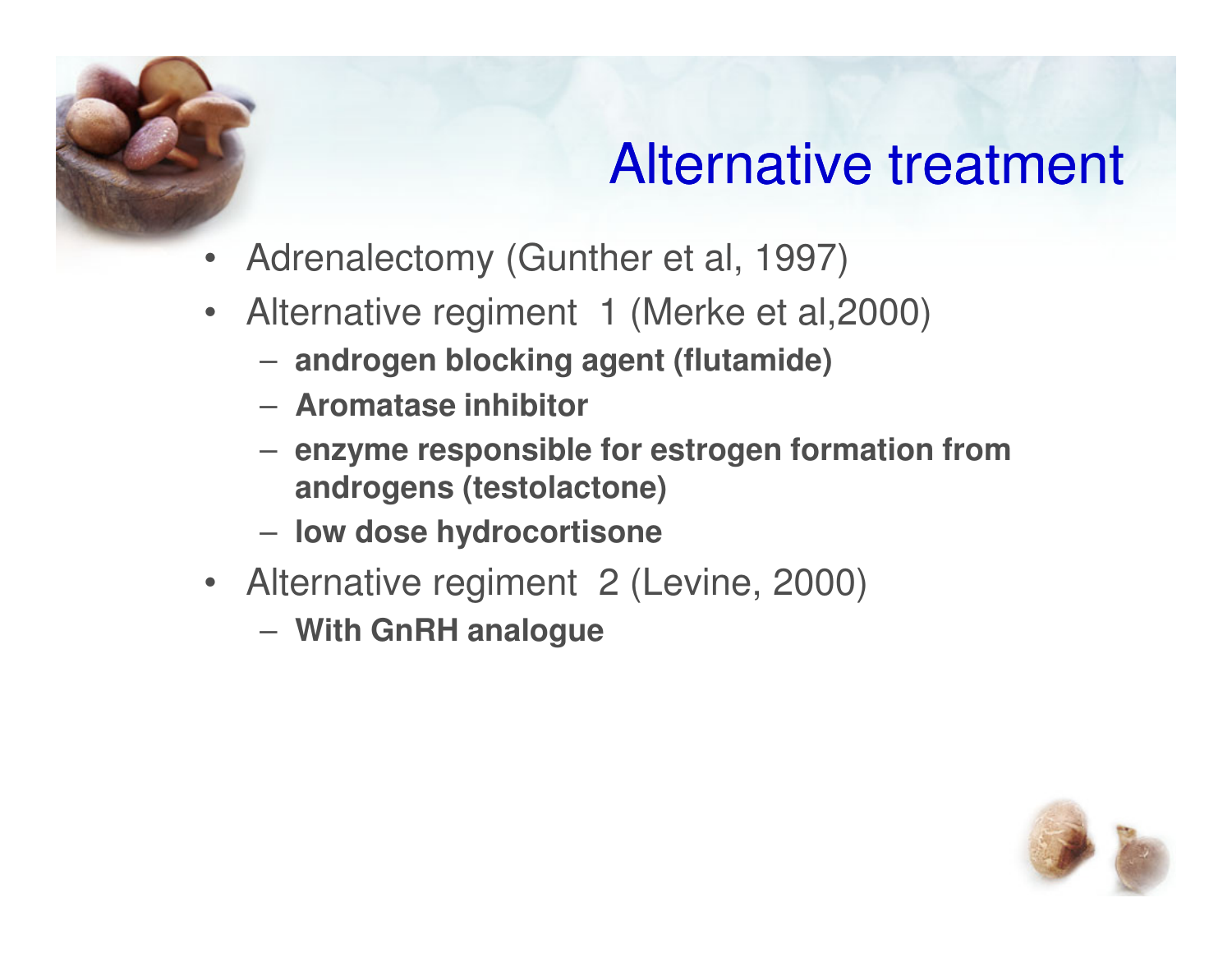

#### Alternative treatment

- •Adrenalectomy (Gunther et al, 1997)
- Alternative regiment 1 (Merke et al,2000)
	- **androgen blocking agent (flutamide)**
	- **Aromatase inhibitor**
	- **enzyme responsible for estrogen formation from androgens (testolactone)**
	- $-$  low dose hydrocortisone
- Alternative regiment 2 (Levine, 2000)
	- **With GnRH analogue**

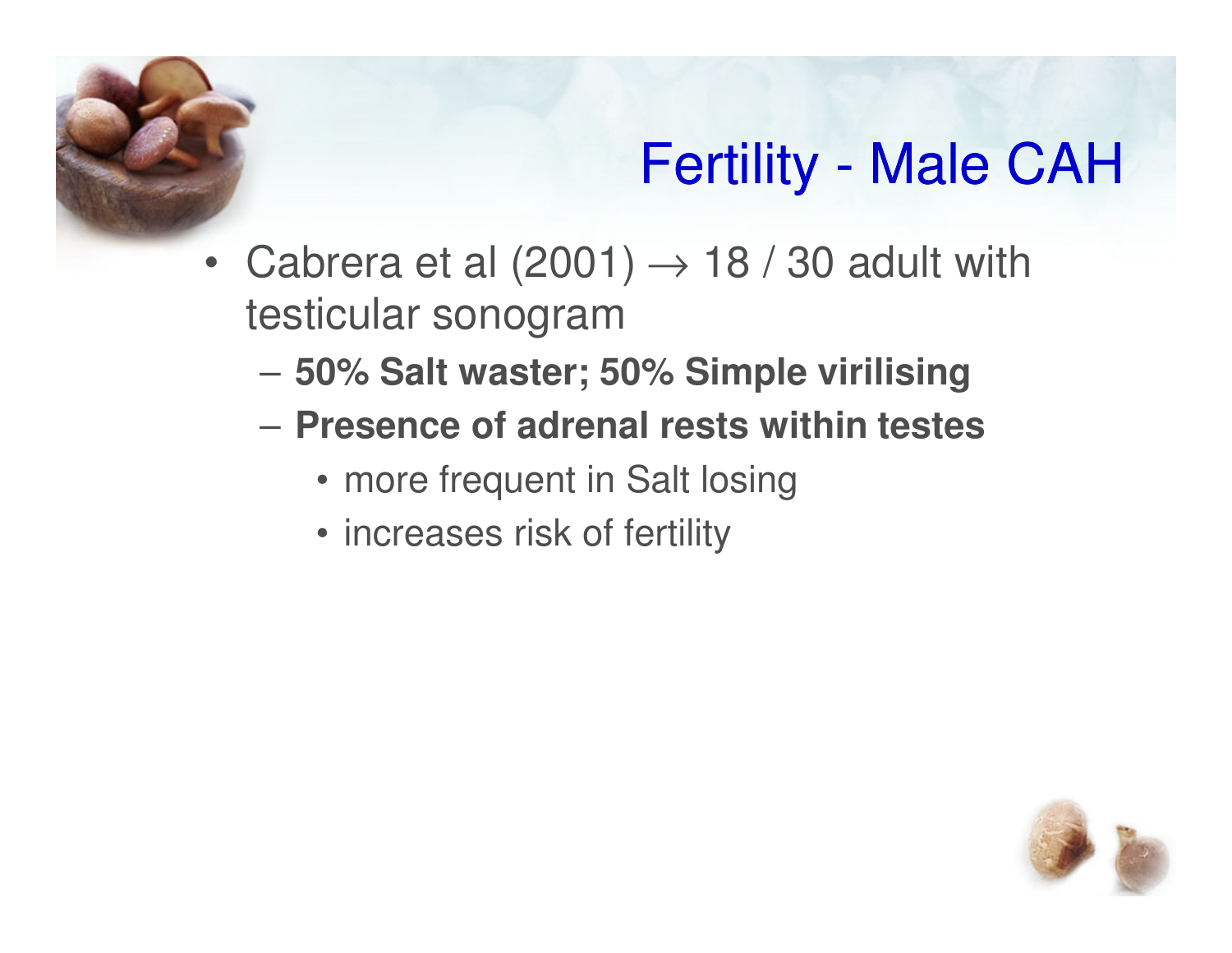

## Fertility - Male CAH

- Cabrera et al  $(2001) \rightarrow 18 / 30$  adult with<br>testicular sonogram testicular sonogram
	- 50% SAIT MARTAM **50% Salt waster; 50% Simple virilising**
	- **Presence of adrenal rests within testes**
		- more frequent in Salt losing
		- increases risk of fertility

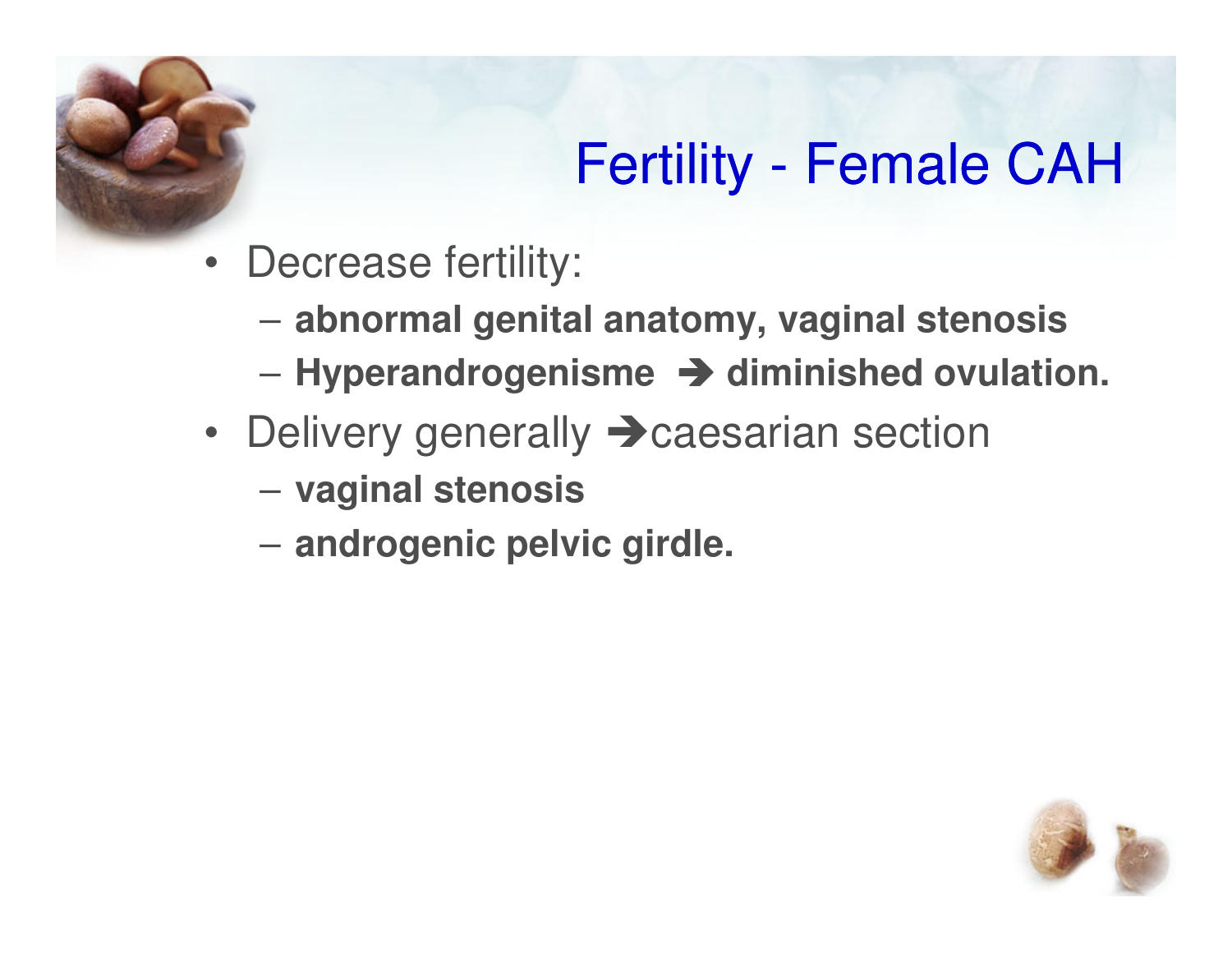

## Fertility - Female CAH

- Decrease fertility:
	- **abnormal genital anatomy, vaginal stenosis**
	- **Hyperandrogenisme diminished ovulation.**
- Delivery generally  $\rightarrow$  caesarian section
	- **vaginal stenosis**
	- **androgenic pelvic girdle.**

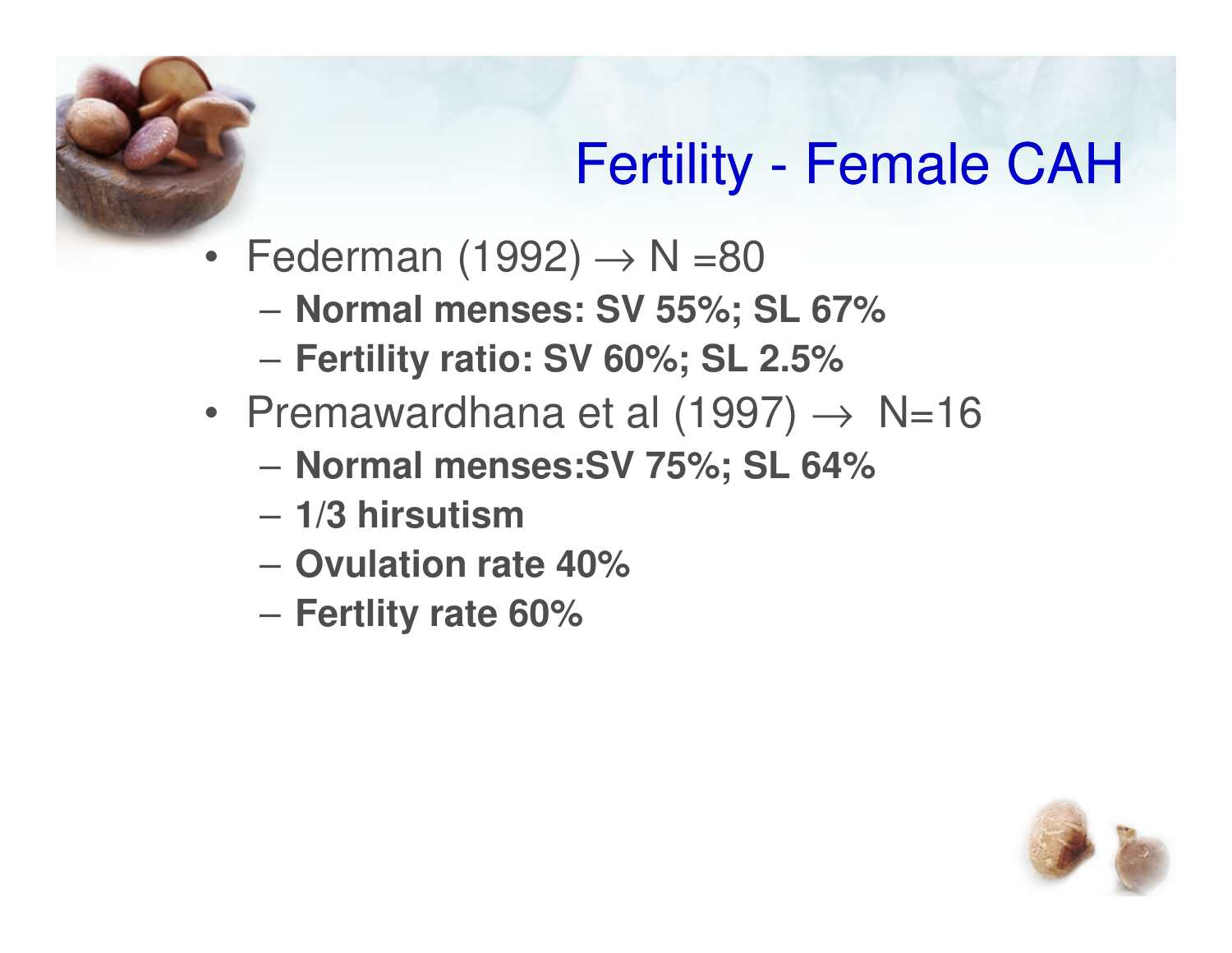## Fertility - Female CAH

- Federman (1992) → N =80<br>- Normal menses: SV 55%: 9
	- **Normal menses: SV 55%; SL 67%**
	- **Fertility ratio: SV 60%; SL 2.5%**
- Premawardhana et al (1997)  $\rightarrow$  N=16<br>- Normal menses SV 75% · SL 64%
	- **Normal menses:SV 75%; SL 64%**
	- –**1/3 hirsutism**
	- І ІМПРІТМА Г **Ovulation rate 40%**
	- **Fertlity rate 60%**

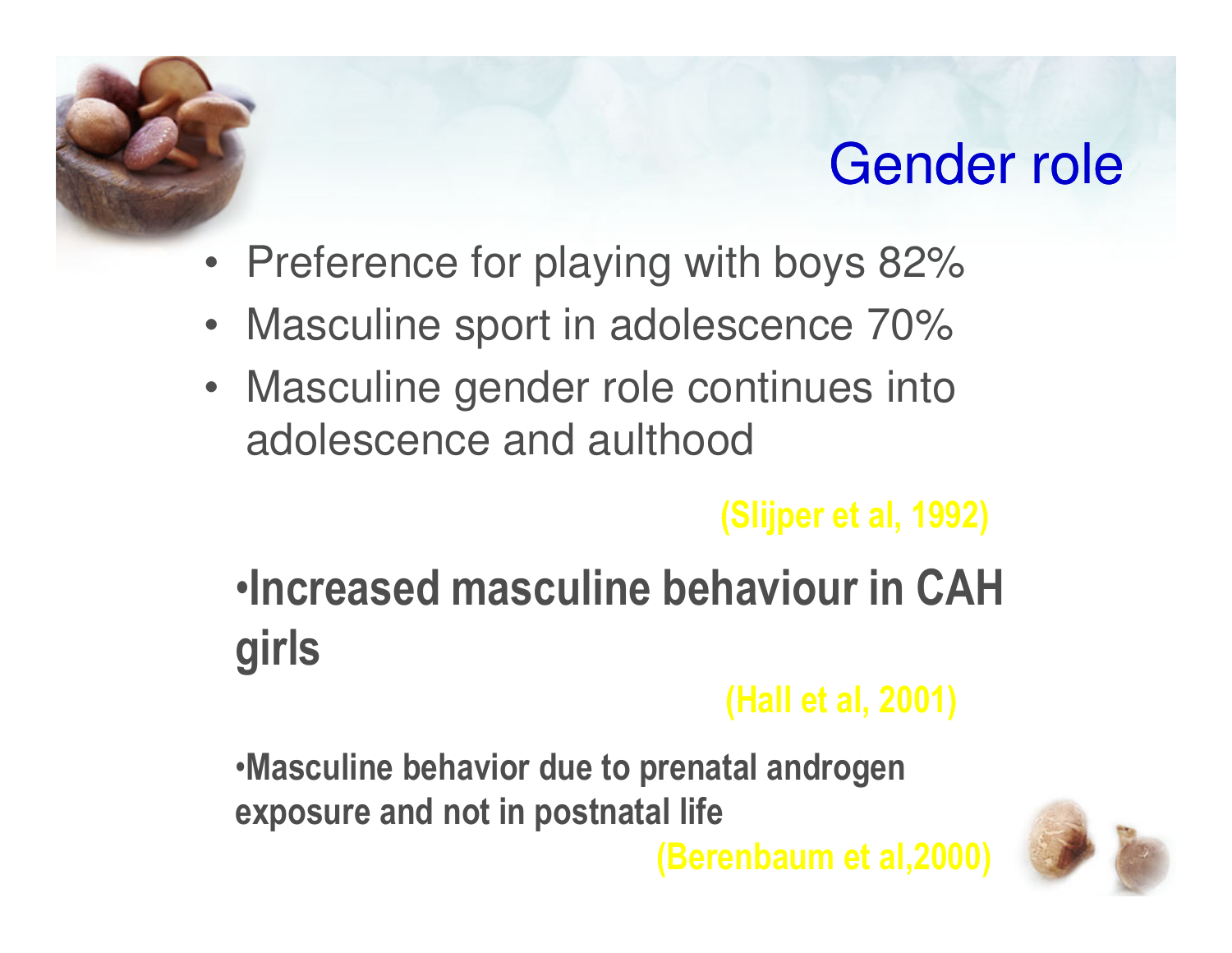#### Gender role



- Masculine sport in adolescence 70%
- Masculine gender role continues into adolescence and aulthood

(Slijper et al, 1992)

•Increased masculine behaviour in CAH girls

(Hall et al, 2001)

•Masculine behavior due to prenatal androgen exposure and not in postnatal life

(Berenbaum et al,2000)

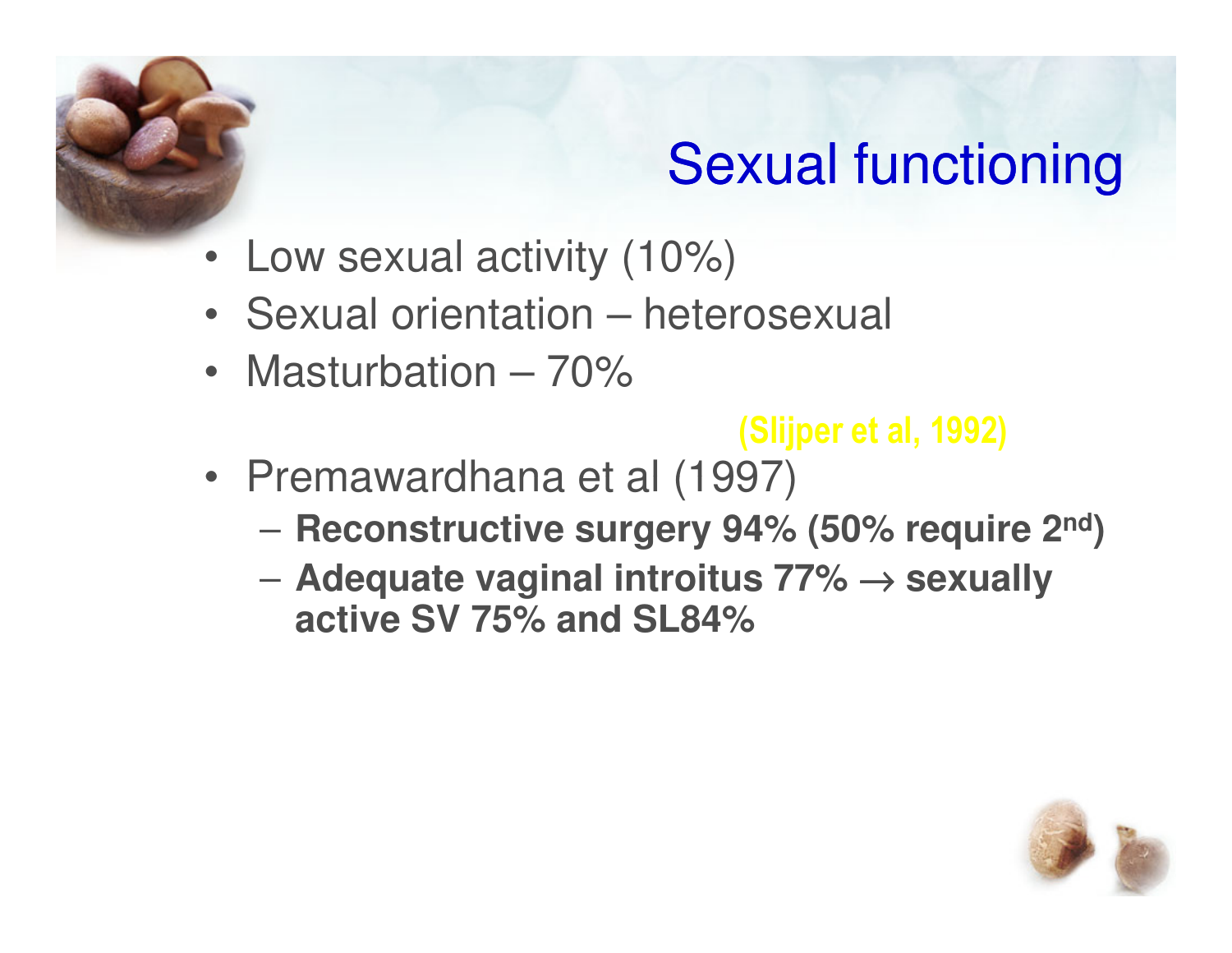

## Sexual functioning

- Low sexual activity (10%)
- Sexual orientation heterosexual
- Masturbation 70%

(Slijper et al, 1992)

- Premawardhana et al (1997)
	- **Reconstructive surgery 94% (50% require 2nd )**
	- **Adequate vaginal introitus 77%** <sup>→</sup> **sexually active SV 75% and SL84%**

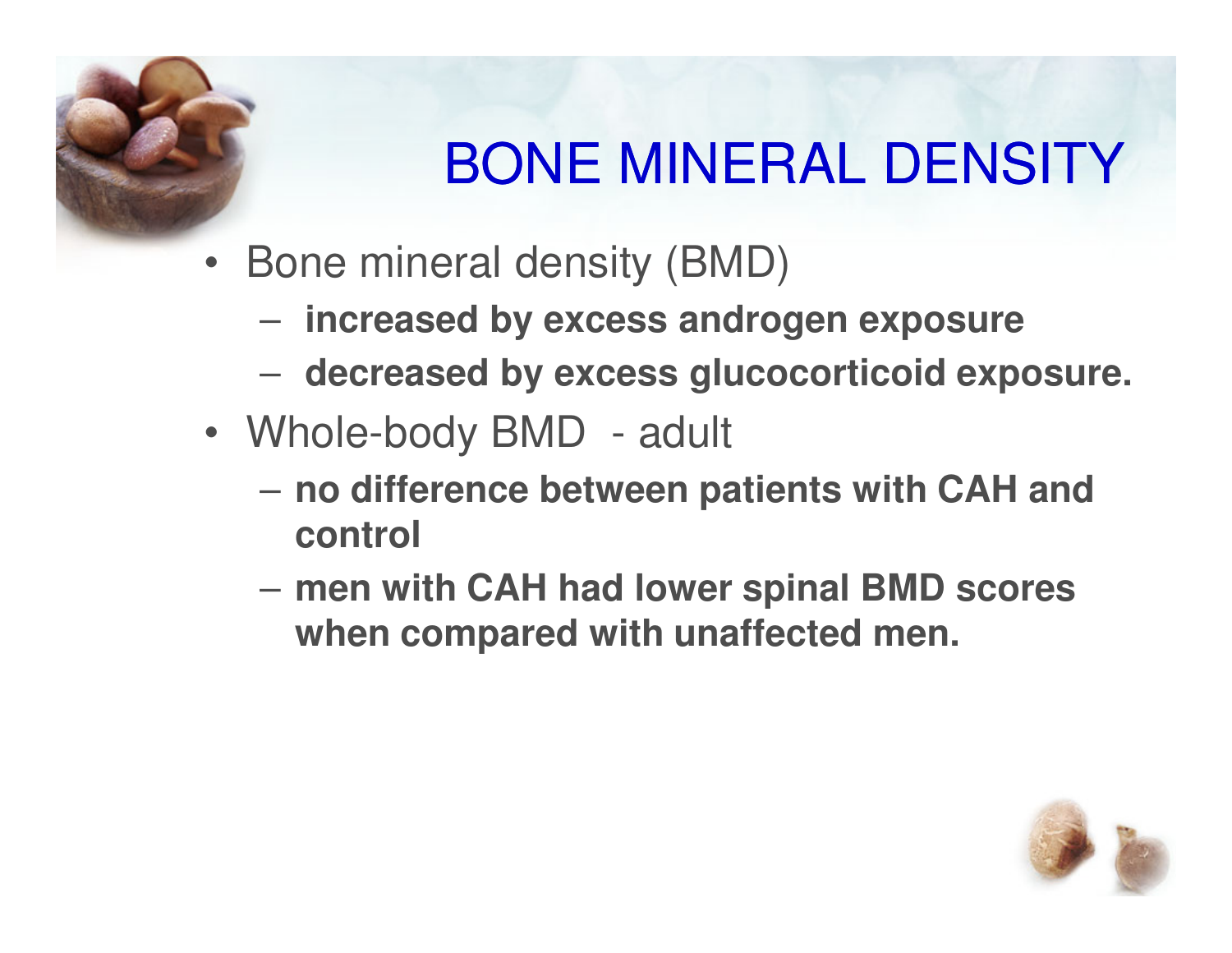

## BONE MINERAL DENSITY

- Bone mineral density (BMD)
	- **increased by excess androgen exposure**
	- **decreased by excess glucocorticoid exposure.**
- Whole-body BMD adult
	- **no difference between patients with CAH and control**
	- $\mathcal{L}_{\mathcal{A}}$  , where  $\mathcal{L}_{\mathcal{A}}$  is the set of the set of the set of the set of the set of the set of the set of the set of the set of the set of the set of the set of the set of the set of the set of the set of the **men with CAH had lower spinal BMD scores when compared with unaffected men.**

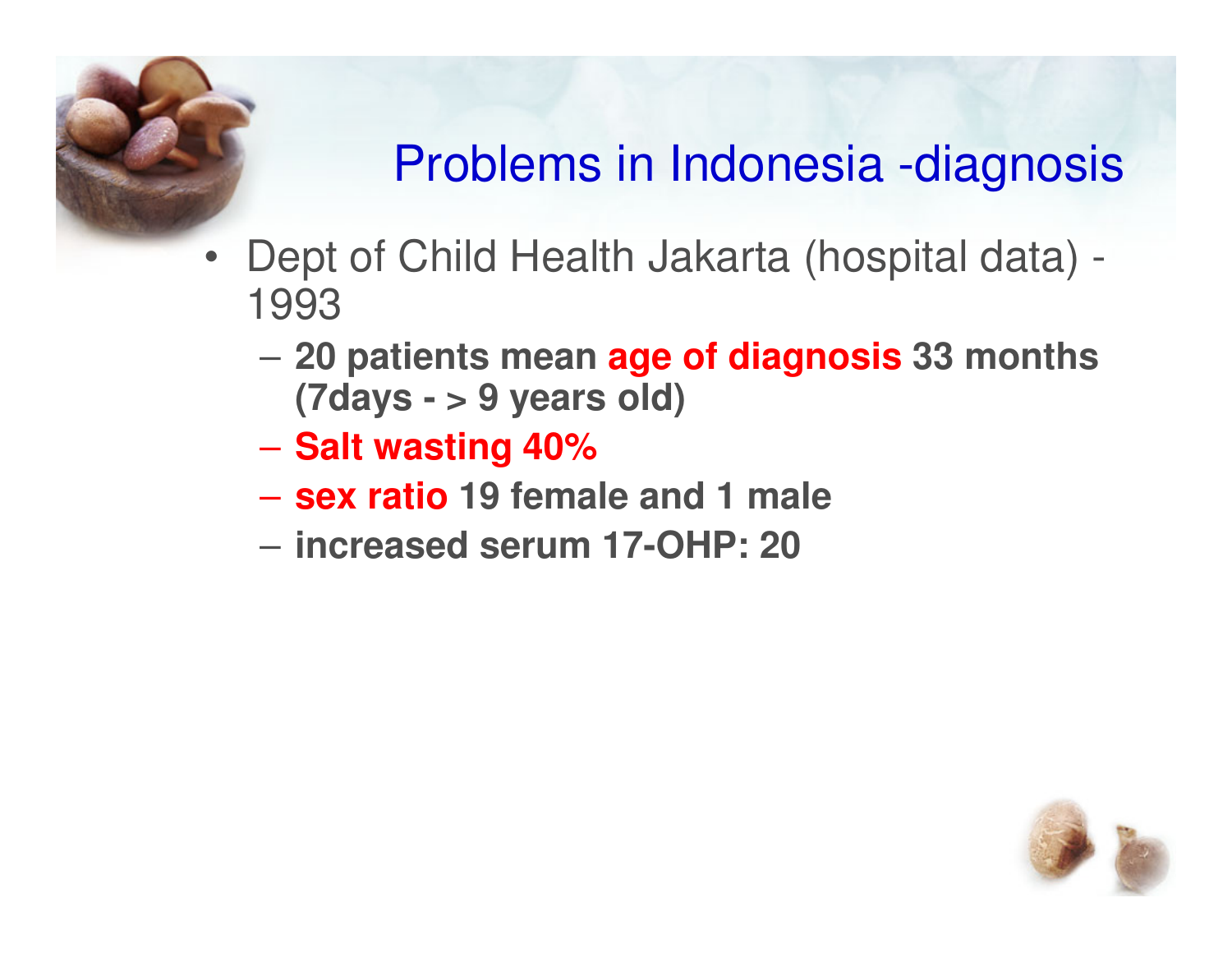

#### Problems in Indonesia -diagnosis

- • Dept of Child Health Jakarta (hospital data) -1993
	- **20 patients mean age of diagnosis 33 months (7days - > 9 years old)**
	- **Salt wasting 40%**
	- $-$  eav reduction in the set **sex ratio 19 female and 1 male**
	- **increased serum 17-OHP: 20**

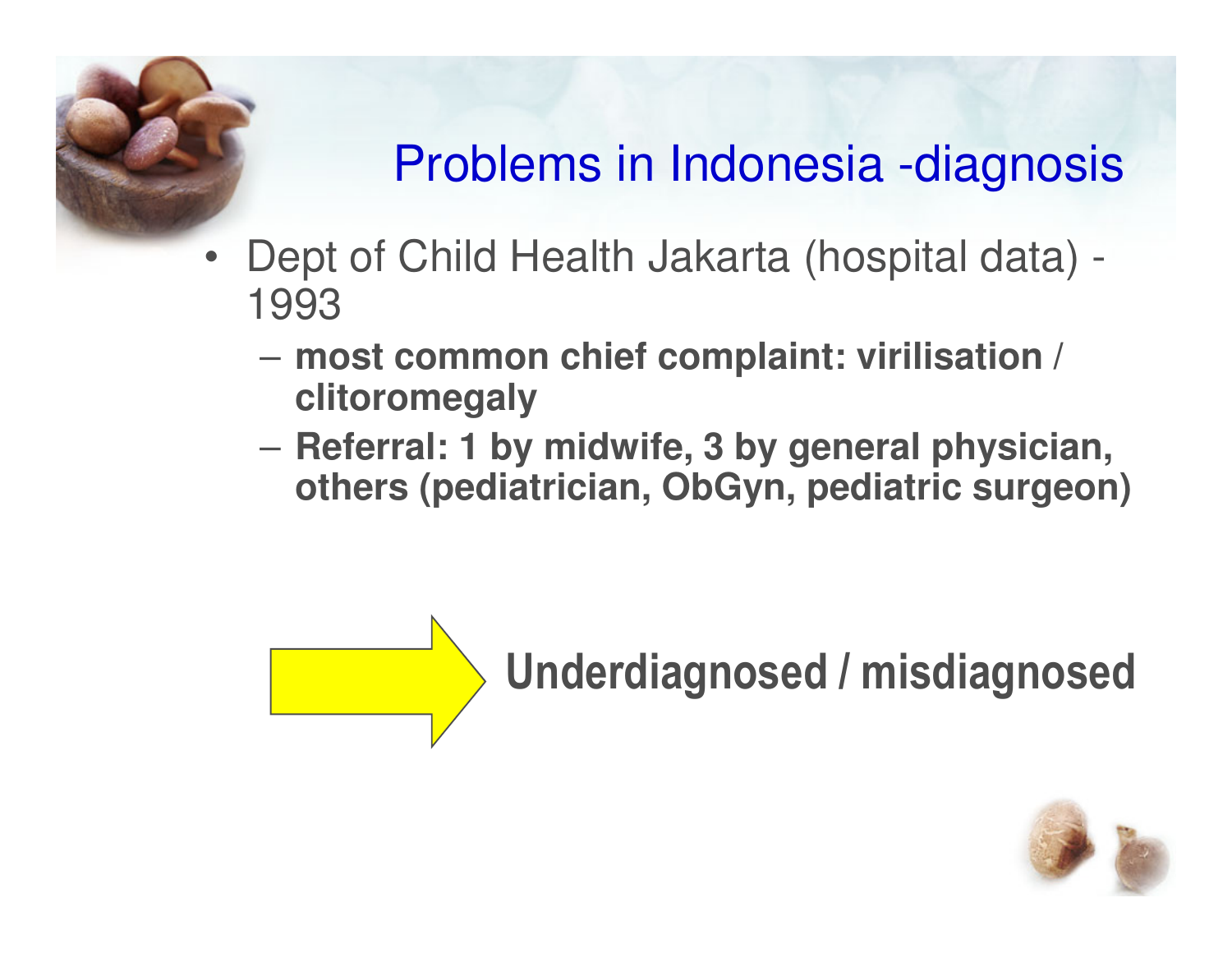

#### Problems in Indonesia -diagnosis

- Dept of Child Health Jakarta (hospital data) -1993
	- **most common chief complaint: virilisation / clitoromegaly**
	- **Referral: 1 by midwife, 3 by general physician, others (pediatrician, ObGyn, pediatric surgeon)**



Underdiagnosed / misdiagnosed

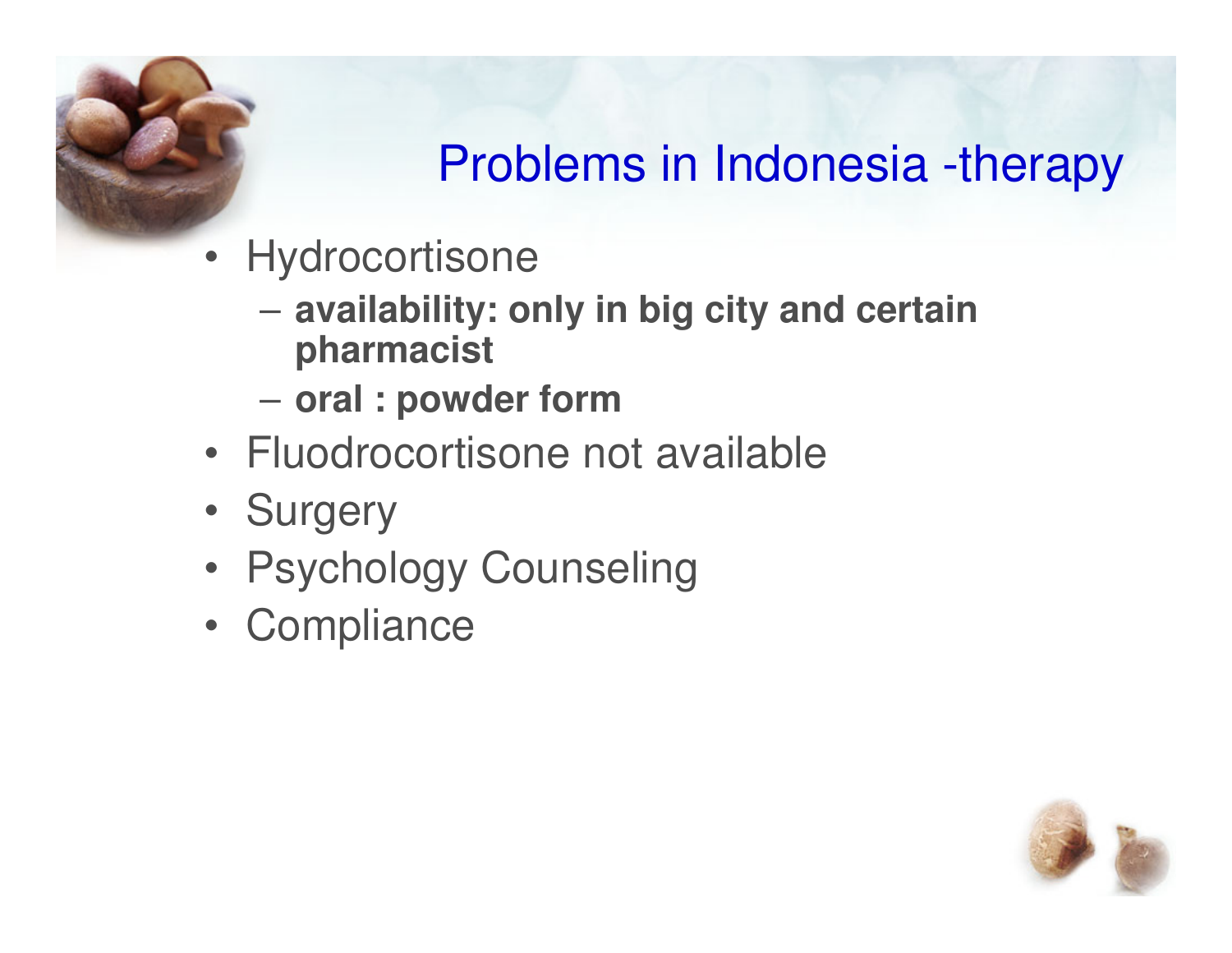#### Problems in Indonesia -therapy

- Hydrocortisone
	- – **availability: only in big city and certain pharmacist**
	- $\mathcal{L}_{\mathcal{A}}$  , where  $\mathcal{L}_{\mathcal{A}}$  is the set of the set of the set of the set of the set of the set of the set of the set of the set of the set of the set of the set of the set of the set of the set of the set of the **oral : powder form**
- Fluodrocortisone not available
- Surgery
- Psychology Counseling
- Compliance

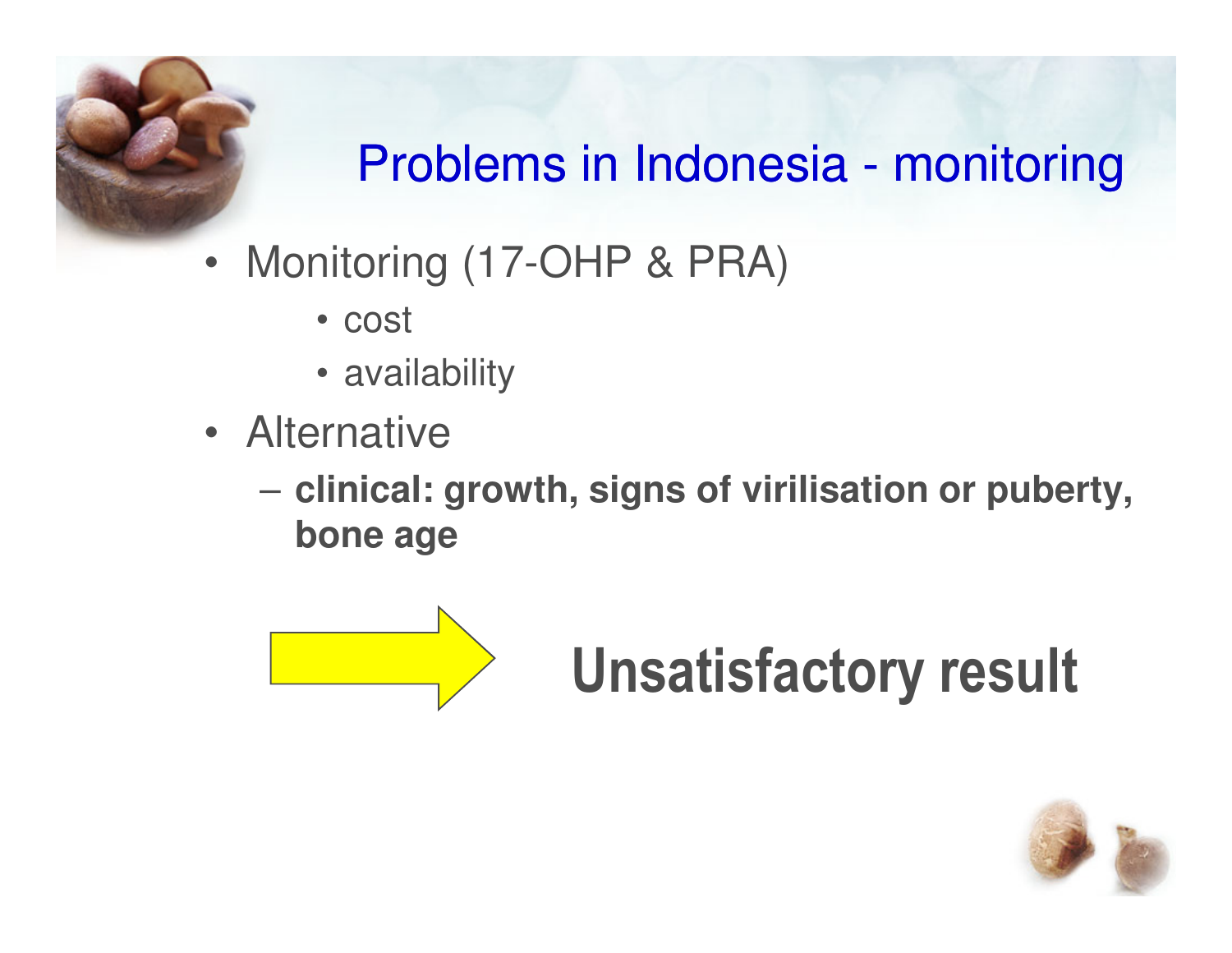#### Problems in Indonesia - monitoring

- Monitoring (17-OHP & PRA)
	- cost
	- availability
- Alternative
	- **clinical: growth, signs of virilisation or puberty, bone age**



# Unsatisfactory result

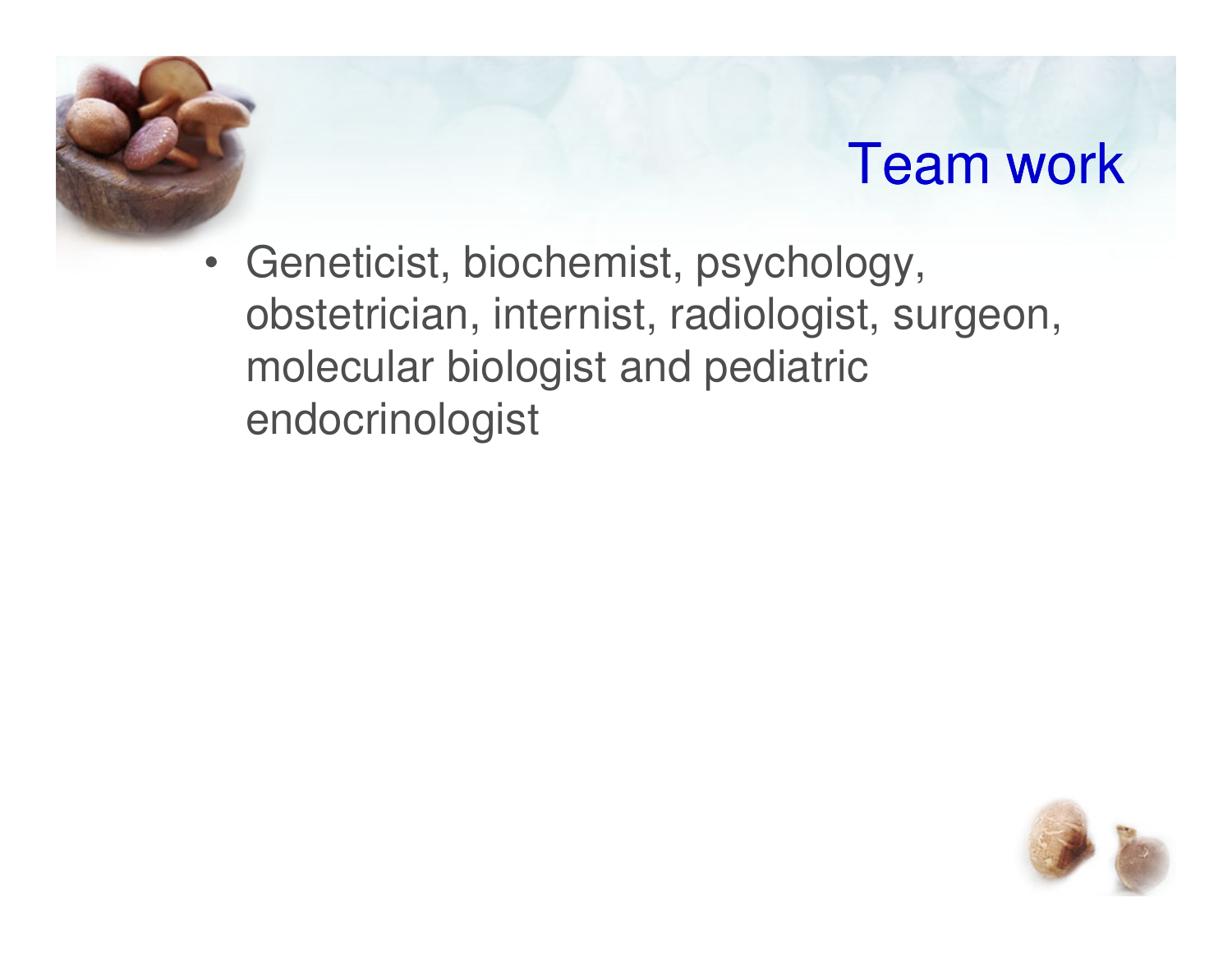

#### Team work

• Geneticist, biochemist, psychology, obstetrician, internist, radiologist, surgeon, molecular biologist and pediatric endocrinologist

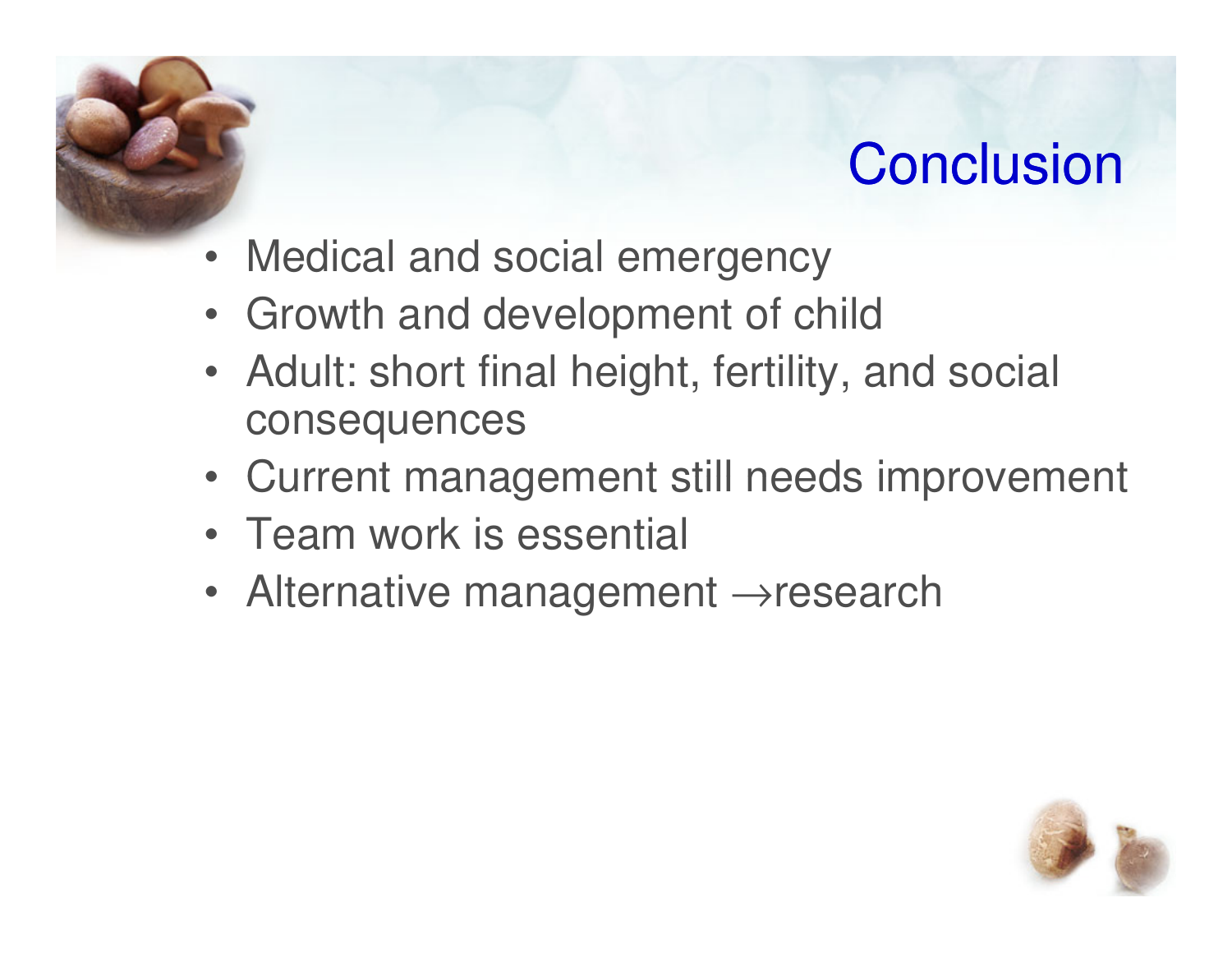#### **Conclusion**



- Growth and development of child
- Adult: short final height, fertility, and social consequences
- Current management still needs improvement
- Team work is essential
- Alternative management →research